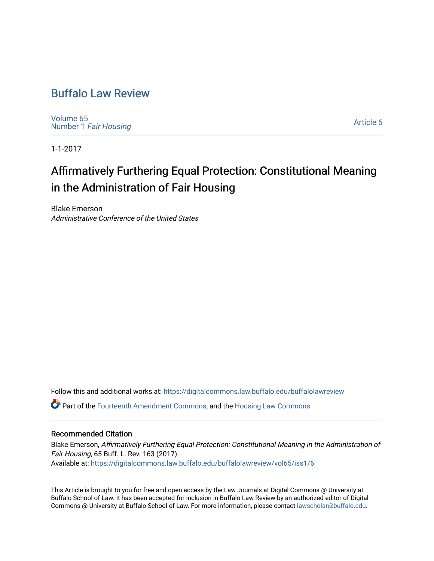# [Buffalo Law Review](https://digitalcommons.law.buffalo.edu/buffalolawreview)

[Volume 65](https://digitalcommons.law.buffalo.edu/buffalolawreview/vol65) Number 1 [Fair Housing](https://digitalcommons.law.buffalo.edu/buffalolawreview/vol65/iss1) 

[Article 6](https://digitalcommons.law.buffalo.edu/buffalolawreview/vol65/iss1/6) 

1-1-2017

# Affirmatively Furthering Equal Protection: Constitutional Meaning in the Administration of Fair Housing

Blake Emerson Administrative Conference of the United States

Follow this and additional works at: [https://digitalcommons.law.buffalo.edu/buffalolawreview](https://digitalcommons.law.buffalo.edu/buffalolawreview?utm_source=digitalcommons.law.buffalo.edu%2Fbuffalolawreview%2Fvol65%2Fiss1%2F6&utm_medium=PDF&utm_campaign=PDFCoverPages) 

Part of the [Fourteenth Amendment Commons](http://network.bepress.com/hgg/discipline/1116?utm_source=digitalcommons.law.buffalo.edu%2Fbuffalolawreview%2Fvol65%2Fiss1%2F6&utm_medium=PDF&utm_campaign=PDFCoverPages), and the [Housing Law Commons](http://network.bepress.com/hgg/discipline/846?utm_source=digitalcommons.law.buffalo.edu%2Fbuffalolawreview%2Fvol65%2Fiss1%2F6&utm_medium=PDF&utm_campaign=PDFCoverPages) 

## Recommended Citation

Blake Emerson, Affirmatively Furthering Equal Protection: Constitutional Meaning in the Administration of Fair Housing, 65 Buff. L. Rev. 163 (2017). Available at: [https://digitalcommons.law.buffalo.edu/buffalolawreview/vol65/iss1/6](https://digitalcommons.law.buffalo.edu/buffalolawreview/vol65/iss1/6?utm_source=digitalcommons.law.buffalo.edu%2Fbuffalolawreview%2Fvol65%2Fiss1%2F6&utm_medium=PDF&utm_campaign=PDFCoverPages) 

This Article is brought to you for free and open access by the Law Journals at Digital Commons @ University at Buffalo School of Law. It has been accepted for inclusion in Buffalo Law Review by an authorized editor of Digital Commons @ University at Buffalo School of Law. For more information, please contact [lawscholar@buffalo.edu](mailto:lawscholar@buffalo.edu).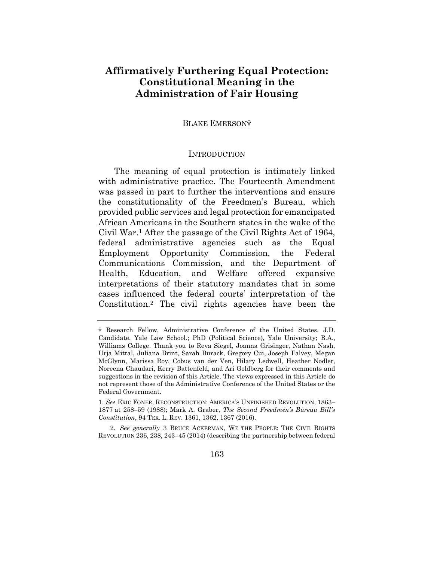# **Constitutional Meaning in the Administration of Fair Housing Affirmatively Furthering Equal Protection:**

#### BLAKE EMERSON†

#### **INTRODUCTION**

 The meaning of equal protection is intimately linked was passed in part to further the interventions and ensure the constitutionality of the Freedmen's Bureau, which provided public services and legal protection for emancipated Civil War.1 After the passage of the Civil Rights Act of 1964, Communications Commission, and the Department of Education, cases influenced the federal courts' interpretation of the Constitution.2 The civil rights agencies have been the with administrative practice. The Fourteenth Amendment African Americans in the Southern states in the wake of the federal administrative agencies such as the Equal Employment Opportunity Commission, the Federal Health, Education, and Welfare offered expansive interpretations of their statutory mandates that in some

 † Research Fellow, Administrative Conference of the United States. J.D. Candidate, Yale Law School.; PhD (Political Science), Yale University; B.A., Williams College. Thank you to Reva Siegel, Joanna Grisinger, Nathan Nash, McGlynn, Marissa Roy, Cobus van der Ven, Hilary Ledwell, Heather Nodler, Noreena Chaudari, Kerry Battenfeld, and Ari Goldberg for their comments and suggestions in the revision of this Article. The views expressed in this Article do Urja Mittal, Juliana Brint, Sarah Burack, Gregory Cui, Joseph Falvey, Megan not represent those of the Administrative Conference of the United States or the Federal Government.

<sup>1.</sup> *See* ERIC FONER, RECONSTRUCTION: AMERICA'S UNFINISHED REVOLUTION, 1863– 1877 at 258–59 (1988); Mark A. Graber, *The Second Freedmen's Bureau Bill's Constitution*, 94 TEX. L. REV. 1361, 1362, 1367 (2016).

<sup>2.</sup> *See generally* 3 BRUCE ACKERMAN, WE THE PEOPLE: THE CIVIL RIGHTS REVOLUTION 236, 238, 243–45 (2014) (describing the partnership between federal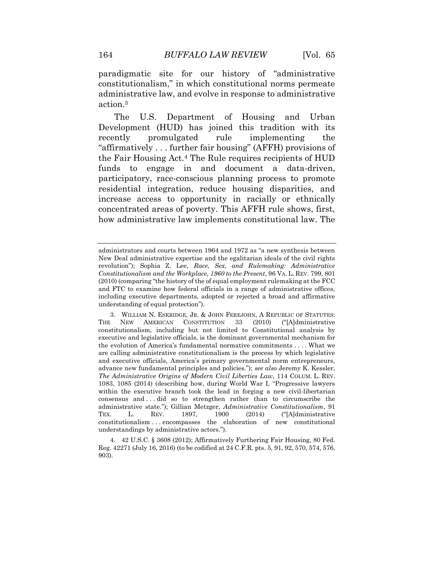paradigmatic site for our history of "administrative constitutionalism," in which constitutional norms permeate administrative law, and evolve in response to administrative action.3

 The U.S. Department of Housing and Urban "affirmatively . . . further fair housing" (AFFH) provisions of the Fair Housing Act.4 The Rule requires recipients of HUD funds to engage in and document a data-driven, increase access to opportunity in racially or ethnically concentrated areas of poverty. This AFFH rule shows, first, how administrative law implements constitutional law. The Development (HUD) has joined this tradition with its recently promulgated rule implementing the participatory, race-conscious planning process to promote residential integration, reduce housing disparities, and

 administrators and courts between 1964 and 1972 as "a new synthesis between New Deal administrative expertise and the egalitarian ideals of the civil rights revolution"); Sophia Z. Lee, *Race, Sex, and Rulemaking: Administrative Constitutionalism and the Workplace, 1960 to the Present*, 96 VA. L. REV. 799, 801 (2010) (comparing "the history of the of equal employment rulemaking at the FCC and FTC to examine how federal officials in a range of administrative offices, including executive departments, adopted or rejected a broad and affirmative understanding of equal protection").

 constitutionalism, including but not limited to Constitutional analysis by executive and legislative officials, is the dominant governmental mechanism for the evolution of America's fundamental normative commitments . . . . What we are calling administrative constitutionalism is the process by which legislative and executive officials, America's primary governmental norm entrepreneurs, advance new fundamental principles and policies."); *see also* Jeremy K. Kessler, 1083, 1085 (2014) (describing how, during World War I, "Progressive lawyers within the executive branch took the lead in forging a new civil-libertarian consensus and . . . did so to strengthen rather than to circumscribe the constitutionalism . . . encompasses the elaboration of new constitutional 3. WILLIAM N. ESKRIDGE, JR. & JOHN FEREJOHN, A REPUBLIC OF STATUTES: THE NEW AMERICAN CONSTITUTION 33 (2010) ("[A]dministrative *The Administrative Origins of Modern Civil Liberties Law*, 114 COLUM. L. REV. administrative state."); Gillian Metzger, *Administrative Constitutionalism*, 91 TEX. L. REV. 1897, 1900 (2014) ("[A]dministrative understandings by administrative actors.").

 4. 42 U.S.C. § 3608 (2012); Affirmatively Furthering Fair Housing, 80 Fed. Reg. 42271 (July 16, 2016) (to be codified at 24 C.F.R. pts. 5, 91, 92, 570, 574, 576, 903).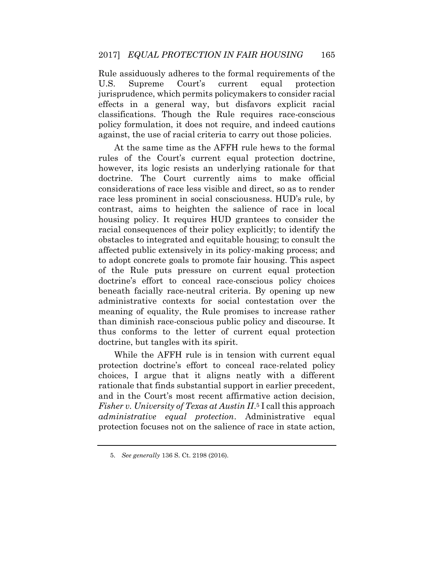jurisprudence, which permits policymakers to consider racial effects in a general way, but disfavors explicit racial policy formulation, it does not require, and indeed cautions Rule assiduously adheres to the formal requirements of the U.S. Supreme Court's current equal protection classifications. Though the Rule requires race-conscious against, the use of racial criteria to carry out those policies.

 however, its logic resists an underlying rationale for that considerations of race less visible and direct, so as to render race less prominent in social consciousness. HUD's rule, by housing policy. It requires HUD grantees to consider the affected public extensively in its policy-making process; and doctrine's effort to conceal race-conscious policy choices administrative contexts for social contestation over the meaning of equality, the Rule promises to increase rather than diminish race-conscious public policy and discourse. It At the same time as the AFFH rule hews to the formal rules of the Court's current equal protection doctrine, doctrine. The Court currently aims to make official contrast, aims to heighten the salience of race in local racial consequences of their policy explicitly; to identify the obstacles to integrated and equitable housing; to consult the to adopt concrete goals to promote fair housing. This aspect of the Rule puts pressure on current equal protection beneath facially race-neutral criteria. By opening up new thus conforms to the letter of current equal protection doctrine, but tangles with its spirit.

 While the AFFH rule is in tension with current equal protection doctrine's effort to conceal race-related policy choices, I argue that it aligns neatly with a different Fisher v. University of Texas at Austin II.<sup>5</sup> I call this approach rationale that finds substantial support in earlier precedent, and in the Court's most recent affirmative action decision, *administrative equal protection*. Administrative equal protection focuses not on the salience of race in state action,

<sup>5.</sup> *See generally* 136 S. Ct. 2198 (2016).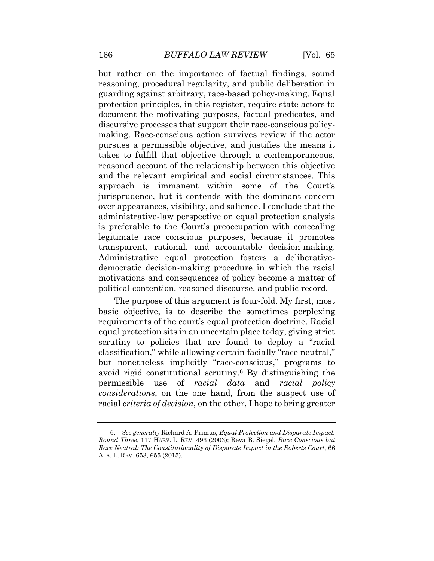but rather on the importance of factual findings, sound reasoning, procedural regularity, and public deliberation in guarding against arbitrary, race-based policy-making. Equal pursues a permissible objective, and justifies the means it takes to fulfill that objective through a contemporaneous, and the relevant empirical and social circumstances. This over appearances, visibility, and salience. I conclude that the motivations and consequences of policy become a matter of protection principles, in this register, require state actors to document the motivating purposes, factual predicates, and discursive processes that support their race-conscious policymaking. Race-conscious action survives review if the actor reasoned account of the relationship between this objective approach is immanent within some of the Court's jurisprudence, but it contends with the dominant concern administrative-law perspective on equal protection analysis is preferable to the Court's preoccupation with concealing legitimate race conscious purposes, because it promotes transparent, rational, and accountable decision-making. Administrative equal protection fosters a deliberativedemocratic decision-making procedure in which the racial political contention, reasoned discourse, and public record.

 scrutiny to policies that are found to deploy a "racial but nonetheless implicitly "race-conscious," programs to avoid rigid constitutional scrutiny.6 By distinguishing the The purpose of this argument is four-fold. My first, most basic objective, is to describe the sometimes perplexing requirements of the court's equal protection doctrine. Racial equal protection sits in an uncertain place today, giving strict classification," while allowing certain facially "race neutral," permissible use of *racial data* and *racial policy considerations*, on the one hand, from the suspect use of racial *criteria of decision*, on the other, I hope to bring greater

 6. *See generally* Richard A. Primus, *Equal Protection and Disparate Impact: Round Three*, 117 HARV. L. REV. 493 (2003); Reva B. Siegel, *Race Conscious but Race Neutral: The Constitutionality of Disparate Impact in the Roberts Court*, 66 ALA. L. REV. 653, 655 (2015).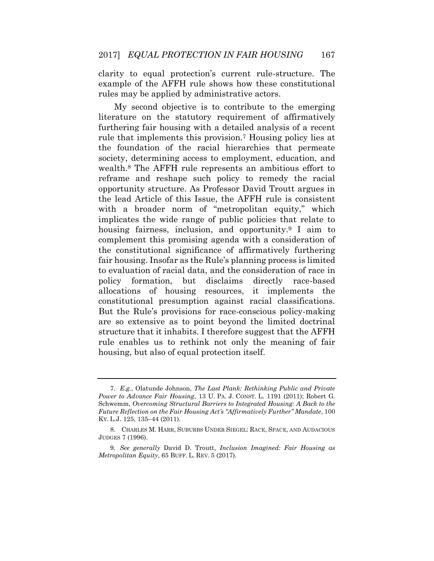clarity to equal protection's current rule-structure. The example of the AFFH rule shows how these constitutional rules may be applied by administrative actors.

 My second objective is to contribute to the emerging furthering fair housing with a detailed analysis of a recent rule that implements this provision.7 Housing policy lies at opportunity structure. As Professor David Troutt argues in with a broader norm of "metropolitan equity," which complement this promising agenda with a consideration of fair housing. Insofar as the Rule's planning process is limited to evaluation of racial data, and the consideration of race in But the Rule's provisions for race-conscious policy-making are so extensive as to point beyond the limited doctrinal rule enables us to rethink not only the meaning of fair literature on the statutory requirement of affirmatively the foundation of the racial hierarchies that permeate society, determining access to employment, education, and wealth.8 The AFFH rule represents an ambitious effort to reframe and reshape such policy to remedy the racial the lead Article of this Issue, the AFFH rule is consistent implicates the wide range of public policies that relate to housing fairness, inclusion, and opportunity.<sup>9</sup> I aim to the constitutional significance of affirmatively furthering policy formation, but disclaims directly race-based allocations of housing resources, it implements the constitutional presumption against racial classifications. structure that it inhabits. I therefore suggest that the AFFH housing, but also of equal protection itself.

 7. *E.g.*, Olatunde Johnson, *The Last Plank: Rethinking Public and Private Power to Advance Fair Housing*, 13 U. PA. J. CONST. L. 1191 (2011); Robert G.  Schwemm, *Overcoming Structural Barriers to Integrated Housing: A Back to the Future Reflection on the Fair Housing Act's "Affirmatively Further" Mandate*, 100 KY. L.J. 125, 135–44 (2011).

<sup>8.</sup> CHARLES M. HARR, SUBURBS UNDER SIEGEL: RACE, SPACE, AND AUDACIOUS JUDGES 7 (1996).

 9. *See generally* David D. Troutt, *Inclusion Imagined: Fair Housing as Metropolitan Equity*, 65 BUFF. L. REV. 5 (2017).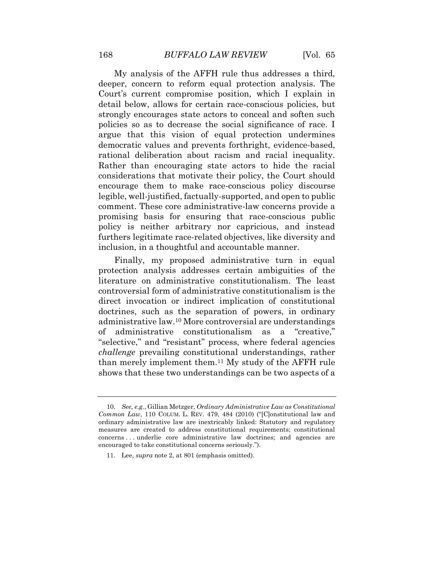My analysis of the AFFH rule thus addresses a third, detail below, allows for certain race-conscious policies, but strongly encourages state actors to conceal and soften such democratic values and prevents forthright, evidence-based, rational deliberation about racism and racial inequality. Rather than encouraging state actors to hide the racial considerations that motivate their policy, the Court should encourage them to make race-conscious policy discourse legible, well-justified, factually-supported, and open to public comment. These core administrative-law concerns provide a promising basis for ensuring that race-conscious public policy is neither arbitrary nor capricious, and instead furthers legitimate race-related objectives, like diversity and deeper, concern to reform equal protection analysis. The Court's current compromise position, which I explain in policies so as to decrease the social significance of race. I argue that this vision of equal protection undermines inclusion, in a thoughtful and accountable manner.

 Finally, my proposed administrative turn in equal direct invocation or indirect implication of constitutional than merely implement them.11 My study of the AFFH rule protection analysis addresses certain ambiguities of the literature on administrative constitutionalism. The least controversial form of administrative constitutionalism is the doctrines, such as the separation of powers, in ordinary administrative law.10 More controversial are understandings of administrative constitutionalism as a "creative," "selective," and "resistant" process, where federal agencies *challenge* prevailing constitutional understandings, rather shows that these two understandings can be two aspects of a

11. Lee, *supra* note 2, at 801 (emphasis omitted).

<sup>10.</sup> *See, e.g.*, Gillian Metzger, *Ordinary Administrative Law as Constitutional Common Law*, 110 COLUM. L. REV. 479, 484 (2010) ("[C]onstitutional law and ordinary administrative law are inextricably linked: Statutory and regulatory measures are created to address constitutional requirements; constitutional concerns . . . underlie core administrative law doctrines; and agencies are encouraged to take constitutional concerns seriously.").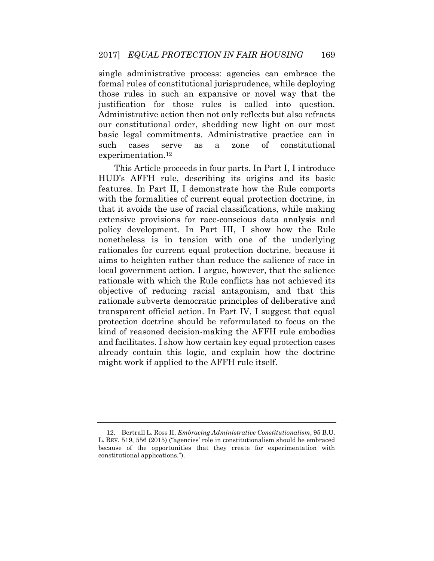those rules in such an expansive or novel way that the justification for those rules is called into question. Administrative action then not only reflects but also refracts cases single administrative process: agencies can embrace the formal rules of constitutional jurisprudence, while deploying our constitutional order, shedding new light on our most basic legal commitments. Administrative practice can in such cases serve as a zone of constitutional [experimentation.12](https://experimentation.12) 

 HUD's AFFH rule, describing its origins and its basic that it avoids the use of racial classifications, while making extensive provisions for race-conscious data analysis and nonetheless is in tension with one of the underlying rationales for current equal protection doctrine, because it aims to heighten rather than reduce the salience of race in rationale with which the Rule conflicts has not achieved its protection doctrine should be reformulated to focus on the kind of reasoned decision-making the AFFH rule embodies This Article proceeds in four parts. In Part I, I introduce features. In Part II, I demonstrate how the Rule comports with the formalities of current equal protection doctrine, in policy development. In Part III, I show how the Rule local government action. I argue, however, that the salience objective of reducing racial antagonism, and that this rationale subverts democratic principles of deliberative and transparent official action. In Part IV, I suggest that equal and facilitates. I show how certain key equal protection cases already contain this logic, and explain how the doctrine might work if applied to the AFFH rule itself.

 12. Bertrall L. Ross II, *Embracing Administrative Constitutionalism*, 95 B.U. L. REV. 519, 556 (2015) ("agencies' role in constitutionalism should be embraced because of the opportunities that they create for experimentation with constitutional applications.").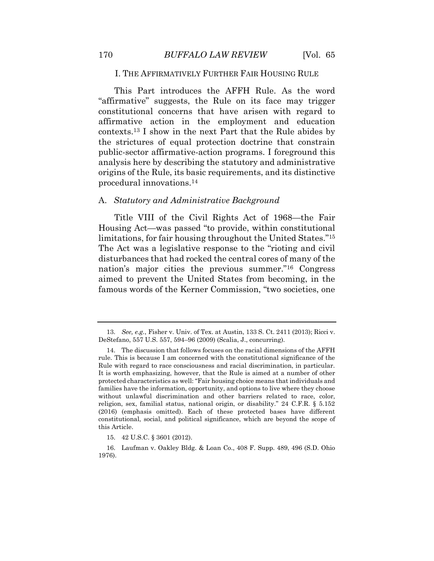#### I. THE AFFIRMATIVELY FURTHER FAIR HOUSING RULE

 This Part introduces the AFFH Rule. As the word "affirmative" suggests, the Rule on its face may trigger constitutional concerns that have arisen with regard to affirmative action in the employment and education analysis here by describing the statutory and administrative [contexts.13](https://contexts.13) I show in the next Part that the Rule abides by the strictures of equal protection doctrine that constrain public-sector affirmative-action programs. I foreground this origins of the Rule, its basic requirements, and its distinctive procedural [innovations.14](https://innovations.14)

#### A. *Statutory and Administrative Background*

 Title VIII of the Civil Rights Act of 1968—the Fair limitations, for fair housing throughout the United States."<sup>15</sup> The Act was a legislative response to the "rioting and civil disturbances that had rocked the central cores of many of the aimed to prevent the United States from becoming, in the Housing Act—was passed "to provide, within constitutional nation's major cities the previous summer."16 Congress famous words of the Kerner Commission, "two societies, one

 13. *See, e.g.*, Fisher v. Univ. of Tex. at Austin, 133 S. Ct. 2411 (2013); Ricci v. DeStefano, 557 U.S. 557, 594–96 (2009) (Scalia, J., concurring).

 14. The discussion that follows focuses on the racial dimensions of the AFFH rule. This is because I am concerned with the constitutional significance of the Rule with regard to race consciousness and racial discrimination, in particular. It is worth emphasizing, however, that the Rule is aimed at a number of other protected characteristics as well: "Fair housing choice means that individuals and families have the information, opportunity, and options to live where they choose without unlawful discrimination and other barriers related to race, color, religion, sex, familial status, national origin, or disability." 24 C.F.R. § 5.152 (2016) (emphasis omitted). Each of these protected bases have different constitutional, social, and political significance, which are beyond the scope of this Article.

<sup>15. 42</sup> U.S.C. § 3601 (2012).

 16. Laufman v. Oakley Bldg. & Loan Co., 408 F. Supp. 489, 496 (S.D. Ohio 1976).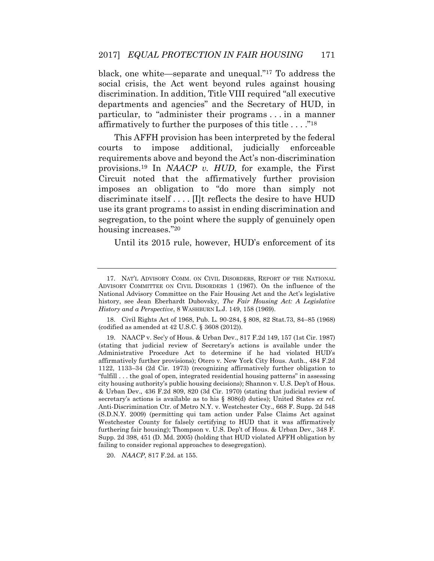black, one white—separate and unequal."17 To address the discrimination. In addition, Title VIII required "all executive particular, to "administer their programs . . . in a manner social crisis, the Act went beyond rules against housing departments and agencies" and the Secretary of HUD, in affirmatively to further the purposes of this title . . . ."<sup>18</sup>

 This AFFH provision has been interpreted by the federal requirements above and beyond the Act's non-discrimination [provisions.19](https://provisions.19) In *NAACP v. HUD*, for example, the First Circuit noted that the affirmatively further provision imposes an obligation to "do more than simply not courts to impose additional, judicially enforceable discriminate itself . . . . [I]t reflects the desire to have HUD use its grant programs to assist in ending discrimination and segregation, to the point where the supply of genuinely open housing increases."<sup>20</sup>

Until its 2015 rule, however, HUD's enforcement of its

 18. Civil Rights Act of 1968, Pub. L. 90-284, § 808, 82 Stat.73, 84–85 (1968) (codified as amended at 42 U.S.C. § 3608 (2012)).

20. *NAACP*, 817 F.2d. at 155.

 17. NAT'L ADVISORY COMM. ON CIVIL DISORDERS, REPORT OF THE NATIONAL ADVISORY COMMITTEE ON CIVIL DISORDERS 1 (1967). On the influence of the National Advisory Committee on the Fair Housing Act and the Act's legislative history, see Jean Eberhardt Dubovsky, *The Fair Housing Act: A Legislative History and a Perspective*, 8 WASHBURN L.J. 149, 158 (1969).

 19. NAACP v. Sec'y of Hous. & Urban Dev., 817 F.2d 149, 157 (1st Cir. 1987) (stating that judicial review of Secretary's actions is available under the Administrative Procedure Act to determine if he had violated HUD's affirmatively further provisions); Otero v. New York City Hous. Auth., 484 F.2d 1122, 1133–34 (2d Cir. 1973) (recognizing affirmatively further obligation to city housing authority's public housing decisions); Shannon v. U.S. Dep't of Hous. & Urban Dev., 436 F.2d 809, 820 (3d Cir. 1970) (stating that judicial review of secretary's actions is available as to his § 808(d) duties); United States *ex rel.*  Anti-Discrimination Ctr. of Metro N.Y. v. Westchester Cty., 668 F. Supp. 2d 548 (S.D.N.Y. 2009) (permitting qui tam action under False Claims Act against Westchester County for falsely certifying to HUD that it was affirmatively furthering fair housing); Thompson v. U.S. Dep't of Hous. & Urban Dev., 348 F. "fulfill . . . the goal of open, integrated residential housing patterns" in assessing Supp. 2d 398, 451 (D. Md. 2005) (holding that HUD violated AFFH obligation by failing to consider regional approaches to desegregation).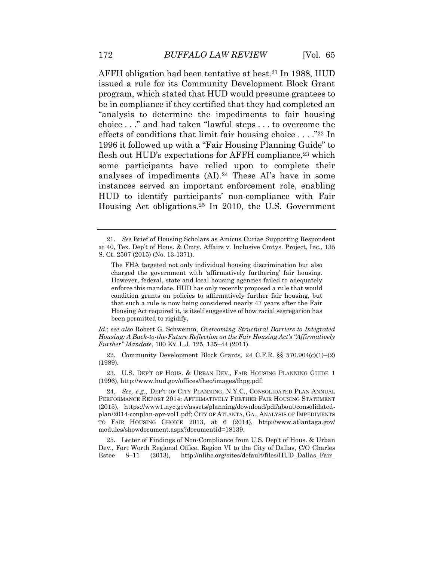issued a rule for its Community Development Block Grant program, which stated that HUD would presume grantees to be in compliance if they certified that they had completed an "analysis to determine the impediments to fair housing choice . . ." and had taken "lawful steps . . . to overcome the flesh out HUD's expectations for AFFH compliance,<sup>23</sup> which analyses of impediments (AI).24 These AI's have in some AFFH obligation had been tentative at best.<sup>21</sup> In 1988, HUD effects of conditions that limit fair housing choice . . . ."22 In 1996 it followed up with a "Fair Housing Planning Guide" to some participants have relied upon to complete their instances served an important enforcement role, enabling HUD to identify participants' non-compliance with Fair Housing Act [obligations.25](https://obligations.25) In 2010, the U.S. Government

 *Id.*; *see also* Robert G. Schwemm, *Overcoming Structural Barriers to Integrated Housing: A Back-to-the-Future Reflection on the Fair Housing Act's "Affirmatively Further" Mandate*, 100 KY. L.J. 125, 135–44 (2011).

 22. Community Development Block Grants, 24 C.F.R. §§ 570.904(c)(1)–(2) (1989).

 23. U.S. DEP'T OF HOUS. & URBAN DEV., FAIR HOUSING PLANNING GUIDE 1 (1996), [http://www.hud.gov/offices/fheo/images/fhpg.pdf.](http://www.hud.gov/offices/fheo/images/fhpg.pdf)

 24. *See, e.g.*, DEP'T OF CITY PLANNING, N.Y.C., CONSOLIDATED PLAN ANNUAL plan/2014-conplan-apr-vol1.pdf; CITY OF ATLANTA, GA., ANALYSIS OF IMPEDIMENTS TO FAIR HOUSING CHOICE 2013, at 6 (2014), <http://www.atlantaga.gov>/ PERFORMANCE REPORT 2014: AFFIRMATIVELY FURTHER FAIR HOUSING STATEMENT (2015), <https://www1.nyc.gov/assets/planning/download/pdf/about/consolidated>modules/showdocument.aspx?documentid=18139.

 Dev., Fort Worth Regional Office, Region VI to the City of Dallas, C/O Charles 25. Letter of Findings of Non-Compliance from U.S. Dep't of Hous. & Urban Estee 8–11 (2013), [http://nlihc.org/sites/default/files/HUD\\_Dallas\\_Fair\\_](http://nlihc.org/sites/default/files/HUD_Dallas_Fair)

 21. *See* Brief of Housing Scholars as Amicus Curiae Supporting Respondent at 40, Tex. Dep't of Hous. & Cmty. Affairs v. Inclusive Cmtys. Project, Inc*.*, 135 S. Ct. 2507 (2015) (No. 13-1371).

 The FHA targeted not only individual housing discrimination but also charged the government with 'affirmatively furthering' fair housing. However, federal, state and local housing agencies failed to adequately enforce this mandate. HUD has only recently proposed a rule that would condition grants on policies to affirmatively further fair housing, but that such a rule is now being considered nearly 47 years after the Fair Housing Act required it, is itself suggestive of how racial segregation has been permitted to rigidify.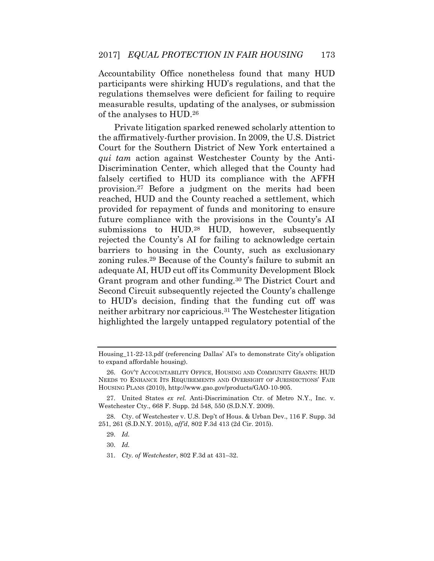Accountability Office nonetheless found that many HUD participants were shirking HUD's regulations, and that the regulations themselves were deficient for failing to require measurable results, updating of the analyses, or submission of the analyses to HUD.26

 Private litigation sparked renewed scholarly attention to Court for the Southern District of New York entertained a *qui tam* action against Westchester County by the Anti- Discrimination Center, which alleged that the County had [provision.27](https://provision.27) Before a judgment on the merits had been reached, HUD and the County reached a settlement, which provided for repayment of funds and monitoring to ensure submissions to HUD.<sup>28</sup> HUD, however, subsequently rejected the County's AI for failing to acknowledge certain adequate AI, HUD cut off its Community Development Block Grant program and other funding.<sup>30</sup> The District Court and to HUD's decision, finding that the funding cut off was neither arbitrary nor [capricious.31](https://capricious.31) The Westchester litigation highlighted the largely untapped regulatory potential of the the affirmatively-further provision. In 2009, the U.S. District falsely certified to HUD its compliance with the AFFH future compliance with the provisions in the County's AI barriers to housing in the County, such as exclusionary zoning [rules.29](https://rules.29) Because of the County's failure to submit an Second Circuit subsequently rejected the County's challenge

31. *Cty. of Westchester*, 802 F.3d at 431–32.

 Housing\_11-22-13.pdf (referencing Dallas' AI's to demonstrate City's obligation to expand affordable housing).

 NEEDS TO ENHANCE ITS REQUIREMENTS AND OVERSIGHT OF JURISDICTIONS' FAIR 26. GOV'T ACCOUNTABILITY OFFICE, HOUSING AND COMMUNITY GRANTS: HUD HOUSING PLANS (2010), [http://www.gao.gov/products/GAO-10-905.](http://www.gao.gov/products/GAO-10-905)

 27. United States *ex rel.* Anti-Discrimination Ctr. of Metro N.Y., Inc. v. Westchester Cty., 668 F. Supp. 2d 548, 550 (S.D.N.Y. 2009).

 28. Cty. of Westchester v. U.S. Dep't of Hous. & Urban Dev., 116 F. Supp. 3d 251, 261 (S.D.N.Y. 2015), *aff'd*, 802 F.3d 413 (2d Cir. 2015).

<sup>29.</sup> *Id.* 

<sup>30.</sup> *Id.*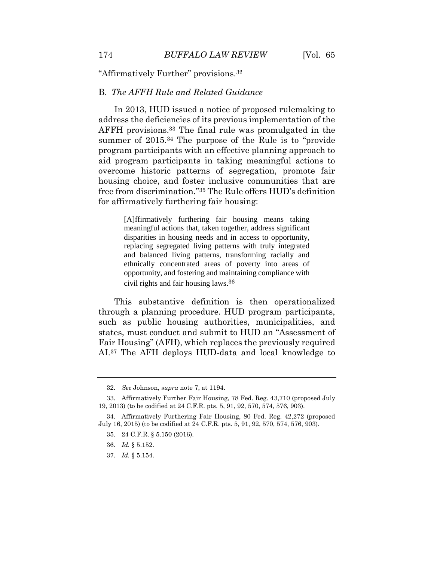"Affirmatively Further" [provisions.](https://provisions.32)<sup>32</sup>

#### B. *The AFFH Rule and Related Guidance*

 In 2013, HUD issued a notice of proposed rulemaking to AFFH [provisions.33](https://provisions.33) The final rule was promulgated in the program participants with an effective planning approach to aid program participants in taking meaningful actions to housing choice, and foster inclusive communities that are free from discrimination."35 The Rule offers HUD's definition address the deficiencies of its previous implementation of the summer of 2015.<sup>34</sup> The purpose of the Rule is to "provide" overcome historic patterns of segregation, promote fair for affirmatively furthering fair housing:

> [A]ffirmatively furthering fair housing means taking meaningful actions that, taken together, address significant disparities in housing needs and in access to opportunity, replacing segregated living patterns with truly integrated and balanced living patterns, transforming racially and ethnically concentrated areas of poverty into areas of opportunity, and fostering and maintaining compliance with civil rights and fair housing laws. 36

 through a planning procedure. HUD program participants, such as public housing authorities, municipalities, and states, must conduct and submit to HUD an "Assessment of Fair Housing" (AFH), which replaces the previously required AI.37 The AFH deploys HUD-data and local knowledge to This substantive definition is then operationalized

<sup>32.</sup> *See* Johnson, *supra* note 7, at 1194.

 33. Affirmatively Further Fair Housing, 78 Fed. Reg. 43,710 (proposed July 19, 2013) (to be codified at 24 C.F.R. pts. 5, 91, 92, 570, 574, 576, 903).

 34. Affirmatively Furthering Fair Housing, 80 Fed. Reg. 42,272 (proposed July 16, 2015) (to be codified at 24 C.F.R. pts. 5, 91, 92, 570, 574, 576, 903).

<sup>35. 24</sup> C.F.R. § 5.150 (2016).

<sup>36.</sup> *Id.* § 5.152.

<sup>37.</sup> *Id.* § 5.154.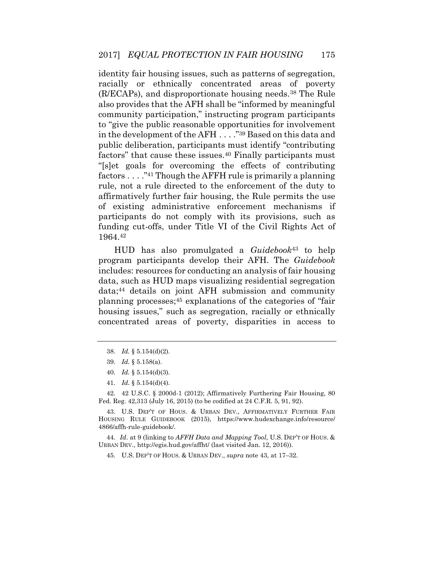identity fair housing issues, such as patterns of segregation, racially or ethnically concentrated areas of poverty also provides that the AFH shall be "informed by meaningful in the development of the AFH . . . ."39 Based on this data and factors" that cause these [issues.](https://issues.40)<sup>40</sup> Finally participants must factors . . . ."41 Though the AFFH rule is primarily a planning rule, not a rule directed to the enforcement of the duty to affirmatively further fair housing, the Rule permits the use of existing administrative enforcement mechanisms if funding cut-offs, under Title VI of the Civil Rights Act of (R/ECAPs), and disproportionate housing [needs.38](https://needs.38) The Rule community participation," instructing program participants to "give the public reasonable opportunities for involvement public deliberation, participants must identify "contributing "[s]et goals for overcoming the effects of contributing participants do not comply with its provisions, such as 1964.42

 HUD has also promulgated a *Guidebook*43 to help program participants develop their AFH. The *Guidebook*  housing issues," such as segregation, racially or ethnically includes: resources for conducting an analysis of fair housing data, such as HUD maps visualizing residential segregation data;44 details on joint AFH submission and community planning processes;45 explanations of the categories of "fair concentrated areas of poverty, disparities in access to

- 38. *Id.* § 5.154(d)(2).
- 39. *Id.* § 5.158(a).
- 40. *Id.* § 5.154(d)(3).
- 41. *Id.* § 5.154(d)(4).

 42. 42 U.S.C. § 2000d-1 (2012); Affirmatively Furthering Fair Housing, 80 Fed. Reg. 42,313 (July 16, 2015) (to be codified at 24 C.F.R. 5, 91, 92).

 43. U.S. DEP'T OF HOUS. & URBAN DEV., AFFIRMATIVELY FURTHER FAIR HOUSING RULE GUIDEBOOK (2015), [https://www.hudexchange.info/resource/](https://www.hudexchange.info/resource) 4866/affh-rule-guidebook/.

44*. Id*. at 9 (linking to *AFFH Data and Mapping Tool*, U.S. DEP'T OF HOUS. & URBAN DEV., <http://egis.hud.gov/affht>/ (last visited Jan. 12, 2016)).

45. U.S. DEP'T OF HOUS. & URBAN DEV., *supra* note 43, at 17–32.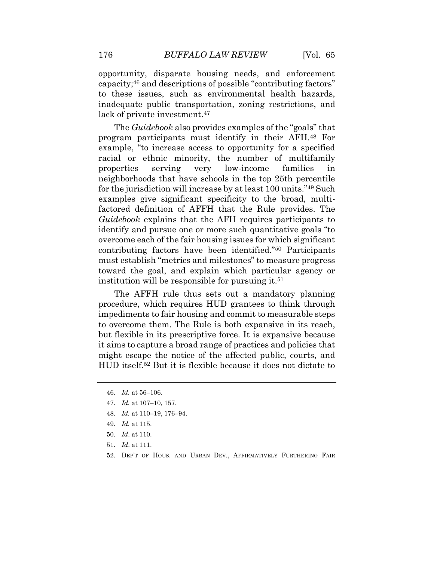to these issues, such as environmental health hazards, opportunity, disparate housing needs, and enforcement capacity;46 and descriptions of possible "contributing factors" inadequate public transportation, zoning restrictions, and lack of private investment.<sup>47</sup>

 The *Guidebook* also provides examples of the "goals" that example, "to increase access to opportunity for a specified racial or ethnic minority, the number of multifamily neighborhoods that have schools in the top 25th percentile examples give significant specificity to the broad, multi- factored definition of AFFH that the Rule provides. The *Guidebook* explains that the AFH requires participants to overcome each of the fair housing issues for which significant toward the goal, and explain which particular agency or program participants must identify in their AFH.48 For properties serving very low-income families in for the jurisdiction will increase by at least 100 units."49 Such identify and pursue one or more such quantitative goals "to contributing factors have been identified."50 Participants must establish "metrics and milestones" to measure progress institution will be responsible for pursuing it.<sup>51</sup>

 The AFFH rule thus sets out a mandatory planning procedure, which requires HUD grantees to think through impediments to fair housing and commit to measurable steps it aims to capture a broad range of practices and policies that HUD [itself.52](https://itself.52) But it is flexible because it does not dictate to to overcome them. The Rule is both expansive in its reach, but flexible in its prescriptive force. It is expansive because might escape the notice of the affected public, courts, and

- 48. *Id.* at 110–19, 176–94.
- 49. *Id.* at 115.
- 50. *Id*. at 110.
- 51. *Id*. at 111.
- 52. DEP'T OF HOUS. AND URBAN DEV., AFFIRMATIVELY FURTHERING FAIR

<sup>46.</sup> *Id.* at 56–106.

<sup>47.</sup> *Id.* at 107–10, 157.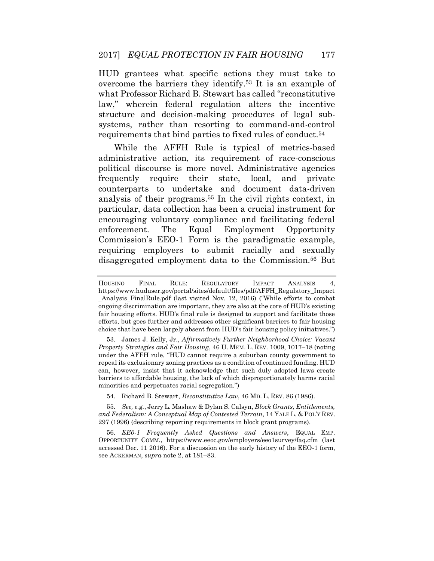HUD grantees what specific actions they must take to overcome the barriers they [identify.53](https://identify.53) It is an example of what Professor Richard B. Stewart has called "reconstitutive law," wherein federal regulation alters the incentive structure and decision-making procedures of legal subsystems, rather than resorting to command-and-control requirements that bind parties to fixed rules of [conduct.54](https://conduct.54)

frequently analysis of their [programs.55](https://programs.55) In the civil rights context, in particular, data collection has been a crucial instrument for encouraging voluntary compliance and facilitating federal enforcement. Commission's EEO-1 Form is the paradigmatic example, requiring employers to submit racially and sexually While the AFFH Rule is typical of metrics-based administrative action, its requirement of race-conscious political discourse is more novel. Administrative agencies require their state, local, and private counterparts to undertake and document data-driven The Equal Employment Opportunity disaggregated employment data to the [Commission.56](https://Commission.56) But

 53. James J. Kelly, Jr., *Affirmatively Further Neighborhood Choice: Vacant*  under the AFFH rule, "HUD cannot require a suburban county government to repeal its exclusionary zoning practices as a condition of continued funding. HUD can, however, insist that it acknowledge that such duly adopted laws create *Property Strategies and Fair Housing*, 46 U. MEM. L. REV. 1009, 1017–18 (noting barriers to affordable housing, the lack of which disproportionately harms racial minorities and perpetuates racial segregation.")

54. Richard B. Stewart, *Reconstitutive Law*, 46 MD. L. REV. 86 (1986).

 55. *See, e.g.*, Jerry L. Mashaw & Dylan S. Calsyn, *Block Grants, Entitlements, and Federalism: A Conceptual Map of Contested Terrain*, 14 YALE L. & POL'Y REV. 297 (1996) (describing reporting requirements in block grant programs).

 accessed Dec. 11 2016). For a discussion on the early history of the EEO-1 form, 56. *EE0-1 Frequently Asked Questions and Answers*, EQUAL EMP. OPPORTUNITY COMM., <https://www.eeoc.gov/employers/eeo1survey/faq.cfm>(last see ACKERMAN, *supra* note 2, at 181–83.

 \_Analysis\_FinalRule.pdf (last visited Nov. 12, 2016) ("While efforts to combat ongoing discrimination are important, they are also at the core of HUD's existing fair housing efforts. HUD's final rule is designed to support and facilitate those efforts, but goes further and addresses other significant barriers to fair housing choice that have been largely absent from HUD's fair housing policy initiatives.") HOUSING FINAL RULE: REGULATORY IMPACT ANALYSIS 4, [https://www.huduser.gov/portal/sites/default/files/pdf/AFFH\\_Regulatory\\_Impact](https://www.huduser.gov/portal/sites/default/files/pdf/AFFH_Regulatory_Impact)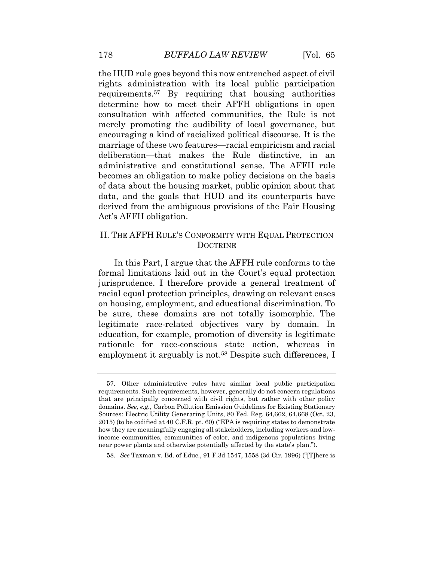the HUD rule goes beyond this now entrenched aspect of civil rights administration with its local public participation [requirements.57](https://requirements.57) By requiring that housing authorities determine how to meet their AFFH obligations in open merely promoting the audibility of local governance, but encouraging a kind of racialized political discourse. It is the marriage of these two features—racial empiricism and racial deliberation—that makes the Rule distinctive, in an data, and the goals that HUD and its counterparts have derived from the ambiguous provisions of the Fair Housing consultation with affected communities, the Rule is not administrative and constitutional sense. The AFFH rule becomes an obligation to make policy decisions on the basis of data about the housing market, public opinion about that Act's AFFH obligation.

# II. THE AFFH RULE'S CONFORMITY WITH EQUAL PROTECTION **DOCTRINE**

 formal limitations laid out in the Court's equal protection jurisprudence. I therefore provide a general treatment of on housing, employment, and educational discrimination. To be sure, these domains are not totally isomorphic. The legitimate race-related objectives vary by domain. In employment it arguably is not.<sup>58</sup> Despite such differences, I In this Part, I argue that the AFFH rule conforms to the racial equal protection principles, drawing on relevant cases education, for example, promotion of diversity is legitimate rationale for race-conscious state action, whereas in

 57. Other administrative rules have similar local public participation requirements. Such requirements, however, generally do not concern regulations that are principally concerned with civil rights, but rather with other policy domains. *See, e.g.*, Carbon Pollution Emission Guidelines for Existing Stationary Sources: Electric Utility Generating Units, 80 Fed. Reg. 64,662, 64,668 (Oct. 23, 2015) (to be codified at 40 C.F.R. pt. 60) ("EPA is requiring states to demonstrate how they are meaningfully engaging all stakeholders, including workers and low- income communities, communities of color, and indigenous populations living near power plants and otherwise potentially affected by the state's plan.").

 58. *See* Taxman v. Bd. of Educ., 91 F.3d 1547, 1558 (3d Cir. 1996) ("[T]here is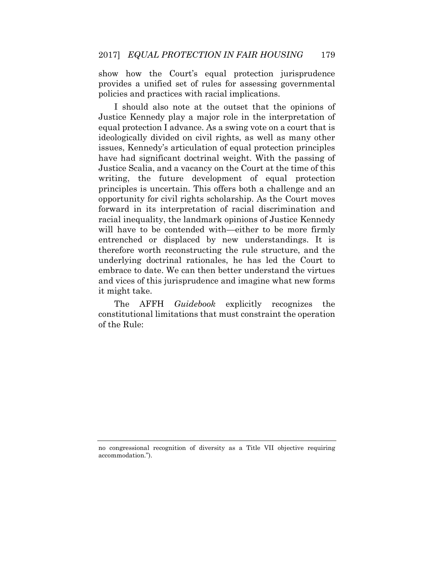show how the Court's equal protection jurisprudence provides a unified set of rules for assessing governmental policies and practices with racial implications.

 I should also note at the outset that the opinions of Justice Kennedy play a major role in the interpretation of equal protection I advance. As a swing vote on a court that is ideologically divided on civil rights, as well as many other Justice Scalia, and a vacancy on the Court at the time of this principles is uncertain. This offers both a challenge and an opportunity for civil rights scholarship. As the Court moves entrenched or displaced by new understandings. It is underlying doctrinal rationales, he has led the Court to issues, Kennedy's articulation of equal protection principles have had significant doctrinal weight. With the passing of writing, the future development of equal protection forward in its interpretation of racial discrimination and racial inequality, the landmark opinions of Justice Kennedy will have to be contended with—either to be more firmly therefore worth reconstructing the rule structure, and the embrace to date. We can then better understand the virtues and vices of this jurisprudence and imagine what new forms it might take.

recognizes constitutional limitations that must constraint the operation The AFFH *Guidebook* explicitly recognizes the of the Rule:

 no congressional recognition of diversity as a Title VII objective requiring accommodation.").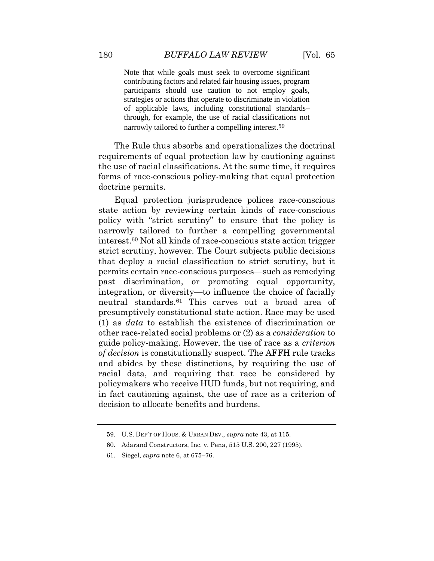Note that while goals must seek to overcome significant contributing factors and related fair housing issues, program participants should use caution to not employ goals, strategies or actions that operate to discriminate in violation through, for example, the use of racial classifications not of applicable laws, including constitutional standards– narrowly tailored to further a compelling [interest.](https://interest.59)<sup>59</sup>

 forms of race-conscious policy-making that equal protection The Rule thus absorbs and operationalizes the doctrinal requirements of equal protection law by cautioning against the use of racial classifications. At the same time, it requires doctrine permits.

 state action by reviewing certain kinds of race-conscious policy with "strict scrutiny" to ensure that the policy is narrowly tailored to further a compelling governmental [interest.60](https://interest.60) Not all kinds of race-conscious state action trigger strict scrutiny, however. The Court subjects public decisions that deploy a racial classification to strict scrutiny, but it past discrimination, or promoting equal opportunity, neutral [standards.61](https://standards.61) This carves out a broad area of other race-related social problems or (2) as a *consideration* to *of decision* is constitutionally suspect. The AFFH rule tracks racial data, and requiring that race be considered by in fact cautioning against, the use of race as a criterion of Equal protection jurisprudence polices race-conscious permits certain race-conscious purposes—such as remedying integration, or diversity—to influence the choice of facially presumptively constitutional state action. Race may be used (1) as *data* to establish the existence of discrimination or guide policy-making. However, the use of race as a *criterion*  and abides by these distinctions, by requiring the use of policymakers who receive HUD funds, but not requiring, and decision to allocate benefits and burdens.

<sup>59.</sup> U.S. DEP'T OF HOUS. & URBAN DEV., *supra* note 43, at 115.

<sup>60.</sup> Adarand Constructors, Inc. v. Pena, 515 U.S. 200, 227 (1995).

<sup>61.</sup> Siegel, *supra* note 6, at 675–76.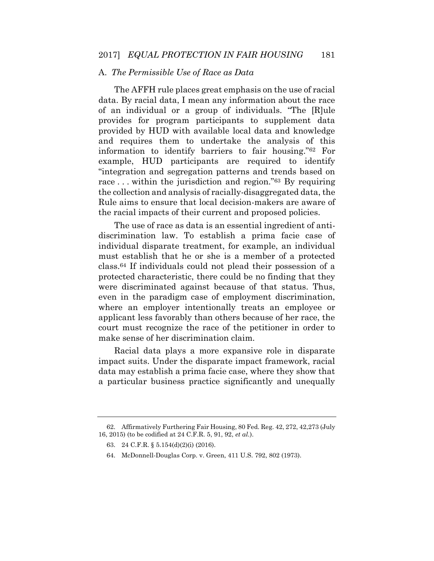## A. *The Permissible Use of Race as Data*

 The AFFH rule places great emphasis on the use of racial data. By racial data, I mean any information about the race of an individual or a group of individuals. "The [R]ule provided by HUD with available local data and knowledge and requires them to undertake the analysis of this example, HUD participants are required to identify "integration and segregation patterns and trends based on the collection and analysis of racially-disaggregated data, the provides for program participants to supplement data information to identify barriers to fair housing."62 For race ... within the jurisdiction and region."<sup>63</sup> By requiring Rule aims to ensure that local decision-makers are aware of the racial impacts of their current and proposed policies.

 discrimination law. To establish a prima facie case of individual disparate treatment, for example, an individual must establish that he or she is a member of a protected [class.64](https://class.64) If individuals could not plead their possession of a protected characteristic, there could be no finding that they where an employer intentionally treats an employee or applicant less favorably than others because of her race, the court must recognize the race of the petitioner in order to The use of race as data is an essential ingredient of antiwere discriminated against because of that status. Thus, even in the paradigm case of employment discrimination, make sense of her discrimination claim.

 Racial data plays a more expansive role in disparate data may establish a prima facie case, where they show that a particular business practice significantly and unequally impact suits. Under the disparate impact framework, racial

 62. Affirmatively Furthering Fair Housing, 80 Fed. Reg. 42, 272, 42,273 (July 16, 2015) (to be codified at 24 C.F.R. 5, 91, 92, *et al.*).

<sup>63. 24</sup> C.F.R. § 5.154(d)(2)(i) (2016).

<sup>64.</sup> McDonnell-Douglas Corp. v. Green, 411 U.S. 792, 802 (1973).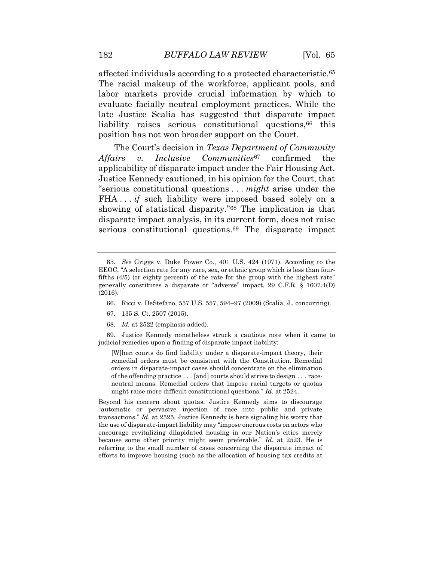affected individuals according to a protected [characteristic.65](https://characteristic.65) The racial makeup of the workforce, applicant pools, and labor markets provide crucial information by which to evaluate facially neutral employment practices. While the late Justice Scalia has suggested that disparate impact liability raises serious constitutional questions, <sup>66</sup> this

confirmed applicability of disparate impact under the Fair Housing Act. FHA . . *if* such liability were imposed based solely on a The Court's decision in *Texas Department of Community Affairs v. Inclusive Communities*67 confirmed the Justice Kennedy cautioned, in his opinion for the Court, that "serious constitutional questions . . . *might* arise under the showing of statistical disparity."68 The implication is that disparate impact analysis, in its current form, does not raise serious constitutional questions.<sup>69</sup> The disparate impact

position has not won broader support on the Court.

- 66. Ricci v. DeStefano, 557 U.S. 557, 594–97 (2009) (Scalia, J., concurring).
- 67. 135 S. Ct. 2507 (2015).
- 68. *Id.* at 2522 (emphasis added).

 69. Justice Kennedy nonetheless struck a cautious note when it came to judicial remedies upon a finding of disparate impact liability:

 [W]hen courts do find liability under a disparate-impact theory, their remedial orders must be consistent with the Constitution. Remedial orders in disparate-impact cases should concentrate on the elimination of the offending practice . . . [and] courts should strive to design . . . race- neutral means. Remedial orders that impose racial targets or quotas might raise more difficult constitutional questions." *Id*. at 2524.

 Beyond his concern about quotas, Justice Kennedy aims to discourage "automatic or pervasive injection of race into public and private transactions." *Id*. at 2525. Justice Kennedy is here signaling his worry that the use of disparate-impact liability may "impose onerous costs on actors who encourage revitalizing dilapidated housing in our Nation's cities merely because some other priority might seem preferable." *Id.* at 2523. He is referring to the small number of cases concerning the disparate impact of efforts to improve housing (such as the allocation of housing tax credits at

 65. *See* Griggs v. Duke Power Co., 401 U.S. 424 (1971). According to the EEOC, "A selection rate for any race, sex, or ethnic group which is less than four- fifths (4/5) (or eighty percent) of the rate for the group with the highest rate" generally constitutes a disparate or "adverse" impact. 29 C.F.R. § 1607.4(D) (2016).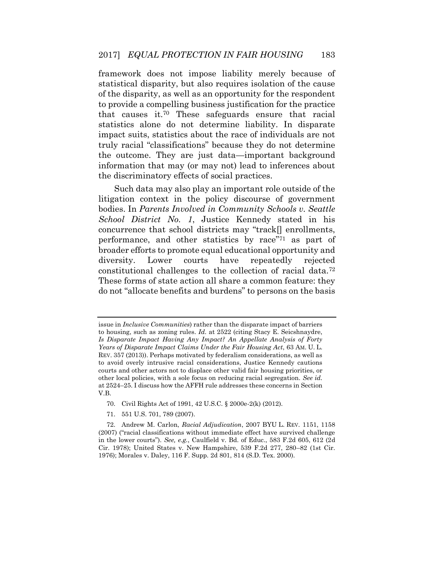framework does not impose liability merely because of of the disparity, as well as an opportunity for the respondent to provide a compelling business justification for the practice statistics alone do not determine liability. In disparate truly racial "classifications" because they do not determine information that may (or may not) lead to inferences about statistical disparity, but also requires isolation of the cause that causes it.70 These safeguards ensure that racial impact suits, statistics about the race of individuals are not the outcome. They are just data—important background the discriminatory effects of social practices.

 Such data may also play an important role outside of the litigation context in the policy discourse of government *School District No. 1*, Justice Kennedy stated in his performance, and other statistics by race"71 as part of broader efforts to promote equal educational opportunity and diversity. Lower courts have repeatedly rejected These forms of state action all share a common feature: they bodies. In *Parents Involved in Community Schools v. Seattle*  concurrence that school districts may "track[] enrollments, constitutional challenges to the collection of racial data.72 do not "allocate benefits and burdens" to persons on the basis

71. 551 U.S. 701, 789 (2007).

 issue in *Inclusive Communities*) rather than the disparate impact of barriers  *Is Disparate Impact Having Any Impact? An Appellate Analysis of Forty Years of Disparate Impact Claims Under the Fair Housing Act*, 63 AM. U. L. REV. 357 (2013)). Perhaps motivated by federalism considerations, as well as to avoid overly intrusive racial considerations, Justice Kennedy cautions courts and other actors not to displace other valid fair housing priorities, or other local policies, with a sole focus on reducing racial segregation. *See id.*  at 2524–25. I discuss how the AFFH rule addresses these concerns in Section to housing, such as zoning rules. *Id.* at 2522 (citing Stacy E. Seicshnaydre, V.B.

<sup>70.</sup> Civil Rights Act of 1991, 42 U.S.C. § 2000e-2(k) (2012).

 72. Andrew M. Carlon, *Racial Adjudication*, 2007 BYU L. REV. 1151, 1158 in the lower courts"). *See, e.g.*, Caulfield v. Bd. of Educ., 583 F.2d 605, 612 (2d Cir. 1978); United States v. New Hampshire, 539 F.2d 277, 280–82 (1st Cir. (2007) ("racial classifications without immediate effect have survived challenge 1976); Morales v. Daley, 116 F. Supp. 2d 801, 814 (S.D. Tex. 2000).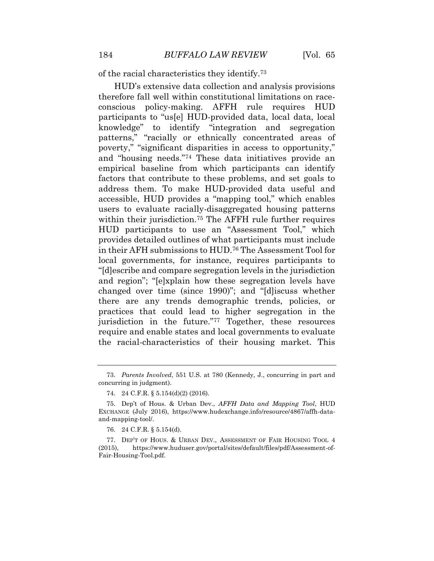of the racial characteristics they [identify.73](https://identify.73)

 therefore fall well within constitutional limitations on race- conscious policy-making. AFFH rule requires HUD knowledge" to identify "integration and segregation patterns," "racially or ethnically concentrated areas of address them. To make HUD-provided data useful and accessible, HUD provides a "mapping tool," which enables within their jurisdiction.<sup>75</sup> The AFFH rule further requires provides detailed outlines of what participants must include in their AFH submissions to HUD.76 The Assessment Tool for local governments, for instance, requires participants to practices that could lead to higher segregation in the the racial-characteristics of their housing market. This HUD's extensive data collection and analysis provisions participants to "us[e] HUD-provided data, local data, local poverty," "significant disparities in access to opportunity," and "housing needs."74 These data initiatives provide an empirical baseline from which participants can identify factors that contribute to these problems, and set goals to users to evaluate racially-disaggregated housing patterns HUD participants to use an "Assessment Tool," which "[d]escribe and compare segregation levels in the jurisdiction and region"; "[e]xplain how these segregation levels have changed over time (since 1990)"; and "[d]iscuss whether there are any trends demographic trends, policies, or jurisdiction in the future."77 Together, these resources require and enable states and local governments to evaluate

 73. *Parents Involved*, 551 U.S. at 780 (Kennedy, J., concurring in part and concurring in judgment).

<sup>74. 24</sup> C.F.R. § 5.154(d)(2) (2016).

 75. Dep't of Hous. & Urban Dev., *AFFH Data and Mapping Tool*, HUD EXCHANGE (July 2016), <https://www.hudexchange.info/resource/4867/affh-data>and-mapping-tool/.

<sup>76. 24</sup> C.F.R. § 5.154(d).

 77. DEP'T OF HOUS. & URBAN DEV., ASSESSMENT OF FAIR HOUSING TOOL 4 (2015), <https://www.huduser.gov/portal/sites/default/files/pdf/Assessment-of>-Fair-Housing-Tool.pdf.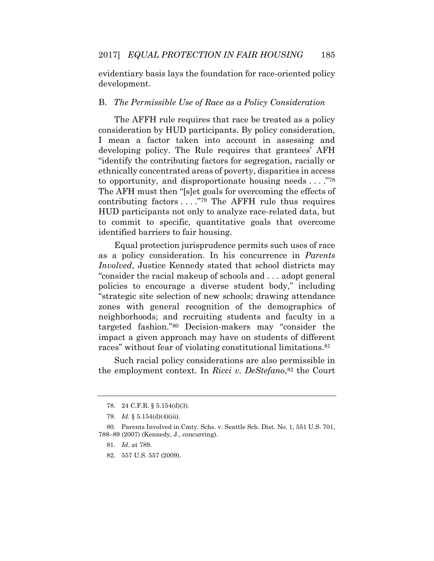evidentiary basis lays the foundation for race-oriented policy development.

#### B. *The Permissible Use of Race as a Policy Consideration*

 The AFFH rule requires that race be treated as a policy I mean a factor taken into account in assessing and "identify the contributing factors for segregation, racially or contributing factors . . . ."79 The AFFH rule thus requires HUD participants not only to analyze race-related data, but consideration by HUD participants. By policy consideration, developing policy. The Rule requires that grantees' AFH ethnically concentrated areas of poverty, disparities in access to opportunity, and disproportionate housing needs . . . ."<sup>78</sup> The AFH must then "[s]et goals for overcoming the effects of to commit to specific, quantitative goals that overcome identified barriers to fair housing.

 as a policy consideration. In his concurrence in *Parents Involved*, Justice Kennedy stated that school districts may "consider the racial makeup of schools and . . . adopt general policies to encourage a diverse student body," including neighborhoods; and recruiting students and faculty in a targeted fashion."80 Decision-makers may "consider the Equal protection jurisprudence permits such uses of race "strategic site selection of new schools; drawing attendance zones with general recognition of the demographics of impact a given approach may have on students of different races" without fear of violating constitutional [limitations.81](https://limitations.81)

 Such racial policy considerations are also permissible in the employment context. In *Ricci v. DeStefano*,82 the Court

<sup>78. 24</sup> C.F.R. § 5.154(d)(3).

<sup>79.</sup> *Id.* § 5.154(d)(4)(iii).

<sup>80</sup>*.* Parents Involved in Cmty. Schs. v. Seattle Sch. Dist. No. 1, 551 U.S. 701, 788–89 (2007) (Kennedy, J., concurring).

<sup>81.</sup> *Id*. at 789.

<sup>82. 557</sup> U.S. 557 (2009).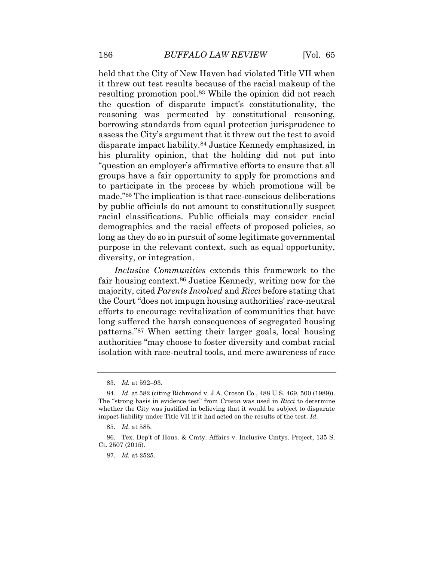held that the City of New Haven had violated Title VII when it threw out test results because of the racial makeup of the the question of disparate impact's constitutionality, the reasoning was permeated by constitutional reasoning, borrowing standards from equal protection jurisprudence to assess the City's argument that it threw out the test to avoid groups have a fair opportunity to apply for promotions and to participate in the process by which promotions will be by public officials do not amount to constitutionally suspect racial classifications. Public officials may consider racial demographics and the racial effects of proposed policies, so purpose in the relevant context, such as equal opportunity, resulting promotion pool.<sup>83</sup> While the opinion did not reach disparate impact [liability.84](https://liability.84) Justice Kennedy emphasized, in his plurality opinion, that the holding did not put into "question an employer's affirmative efforts to ensure that all made."85 The implication is that race-conscious deliberations long as they do so in pursuit of some legitimate governmental diversity, or integration.

 fair housing [context.86](https://context.86) Justice Kennedy, writing now for the efforts to encourage revitalization of communities that have long suffered the harsh consequences of segregated housing patterns."87 When setting their larger goals, local housing authorities "may choose to foster diversity and combat racial isolation with race-neutral tools, and mere awareness of race *Inclusive Communities* extends this framework to the majority, cited *Parents Involved* and *Ricci* before stating that the Court "does not impugn housing authorities' race-neutral

<sup>83.</sup> *Id.* at 592–93.

 The "strong basis in evidence test" from *Croson* was used in *Ricci* to determine whether the City was justified in believing that it would be subject to disparate 84. *Id*. at 582 (citing Richmond v. J.A. Croson Co., 488 U.S. 469, 500 (1989)). impact liability under Title VII if it had acted on the results of the test. *Id.* 

<sup>85.</sup> *Id*. at 585.

 86. Tex. Dep't of Hous. & Cmty. Affairs v. Inclusive Cmtys. Project, 135 S. Ct. 2507 (2015).

<sup>87.</sup> *Id.* at 2525.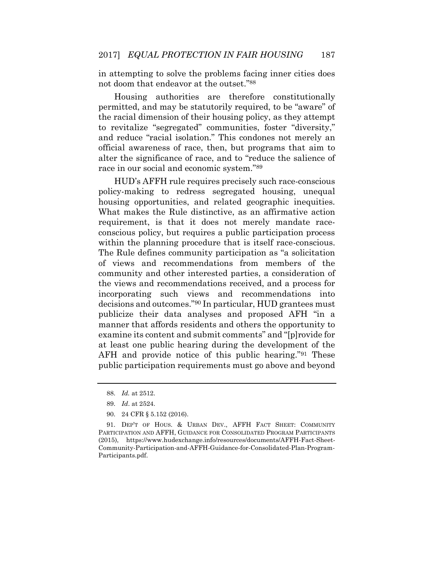in attempting to solve the problems facing inner cities does not doom that endeavor at the outset."<sup>88</sup>

 permitted, and may be statutorily required, to be "aware" of the racial dimension of their housing policy, as they attempt and reduce "racial isolation." This condones not merely an Housing authorities are therefore constitutionally to revitalize "segregated" communities, foster "diversity," official awareness of race, then, but programs that aim to alter the significance of race, and to "reduce the salience of race in our social and economic system."<sup>89</sup>

 policy-making to redress segregated housing, unequal housing opportunities, and related geographic inequities. What makes the Rule distinctive, as an affirmative action requirement, is that it does not merely mandate race- conscious policy, but requires a public participation process community and other interested parties, a consideration of the views and recommendations received, and a process for incorporating such views and recommendations into publicize their data analyses and proposed AFH "in a manner that affords residents and others the opportunity to AFH and provide notice of this public hearing."91 These public participation requirements must go above and beyond HUD's AFFH rule requires precisely such race-conscious within the planning procedure that is itself race-conscious. The Rule defines community participation as "a solicitation of views and recommendations from members of the decisions and outcomes."90 In particular, HUD grantees must examine its content and submit comments" and "[p]rovide for at least one public hearing during the development of the

<sup>88.</sup> *Id.* at 2512.

<sup>89.</sup> *Id*. at 2524.

<sup>90. 24</sup> CFR § 5.152 (2016).

 91. DEP'T OF HOUS. & URBAN DEV., AFFH FACT SHEET: COMMUNITY PARTICIPATION AND AFFH, GUIDANCE FOR CONSOLIDATED PROGRAM PARTICIPANTS (2015), <https://www.hudexchange.info/resources/documents/AFFH-Fact-Sheet>-Community-Participation-and-AFFH-Guidance-for-Consolidated-Plan-Program-Participants.pdf.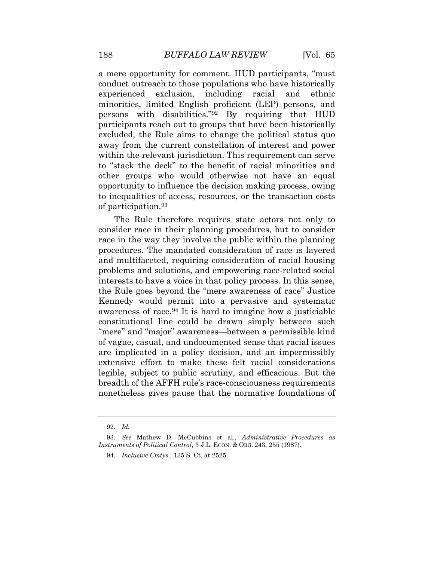a mere opportunity for comment. HUD participants, "must experienced exclusion, including racial and ethnic minorities, limited English proficient (LEP) persons, and excluded, the Rule aims to change the political status quo conduct outreach to those populations who have historically persons with disabilities."92 By requiring that HUD participants reach out to groups that have been historically away from the current constellation of interest and power within the relevant jurisdiction. This requirement can serve to "stack the deck" to the benefit of racial minorities and other groups who would otherwise not have an equal opportunity to influence the decision making process, owing to inequalities of access, resources, or the transaction costs of [participation.93](https://participation.93)

 consider race in their planning procedures, but to consider race in the way they involve the public within the planning and multifaceted, requiring consideration of racial housing problems and solutions, and empowering race-related social interests to have a voice in that policy process. In this sense, the Rule goes beyond the "mere awareness of race" Justice awareness of race.94 It is hard to imagine how a justiciable "mere" and "major" awareness—between a permissible kind of vague, casual, and undocumented sense that racial issues are implicated in a policy decision, and an impermissibly extensive effort to make these felt racial considerations legible, subject to public scrutiny, and efficacious. But the nonetheless gives pause that the normative foundations of The Rule therefore requires state actors not only to procedures. The mandated consideration of race is layered Kennedy would permit into a pervasive and systematic constitutional line could be drawn simply between such breadth of the AFFH rule's race-consciousness requirements

<sup>92.</sup> *Id.* 

 93. *See* Mathew D. McCubbins et al., *Administrative Procedures as Instruments of Political Control*, 3 J.L. ECON. & ORG. 243, 255 (1987).

<sup>94.</sup> *Inclusive Cmtys.*, 135 S. Ct. at 2525.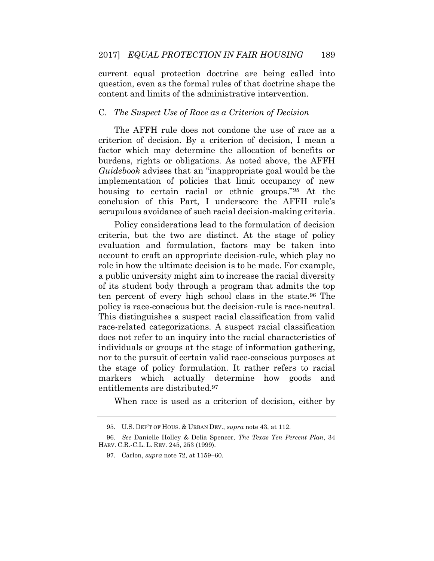current equal protection doctrine are being called into question, even as the formal rules of that doctrine shape the content and limits of the administrative intervention.

#### C. *The Suspect Use of Race as a Criterion of Decision*

 The AFFH rule does not condone the use of race as a criterion of decision. By a criterion of decision, I mean a burdens, rights or obligations. As noted above, the AFFH *Guidebook* advises that an "inappropriate goal would be the housing to certain racial or ethnic groups."95 At the factor which may determine the allocation of benefits or implementation of policies that limit occupancy of new conclusion of this Part, I underscore the AFFH rule's scrupulous avoidance of such racial decision-making criteria.

 Policy considerations lead to the formulation of decision criteria, but the two are distinct. At the stage of policy evaluation and formulation, factors may be taken into account to craft an appropriate decision-rule, which play no role in how the ultimate decision is to be made. For example, a public university might aim to increase the racial diversity of its student body through a program that admits the top ten percent of every high school class in the [state.96](https://state.96) The does not refer to an inquiry into the racial characteristics of the stage of policy formulation. It rather refers to racial policy is race-conscious but the decision-rule is race-neutral. This distinguishes a suspect racial classification from valid race-related categorizations. A suspect racial classification individuals or groups at the stage of information gathering, nor to the pursuit of certain valid race-conscious purposes at markers which actually determine how goods and entitlements are [distributed.97](https://distributed.97) 

When race is used as a criterion of decision, either by

<sup>95.</sup> U.S. DEP'T OF HOUS. & URBAN DEV., *supra* note 43, at 112.

<sup>96.</sup> *See* Danielle Holley & Delia Spencer, *The Texas Ten Percent Plan*, 34 HARV. C.R.-C.L. L. REV. 245, 253 (1999).

<sup>97.</sup> Carlon, *supra* note 72, at 1159–60.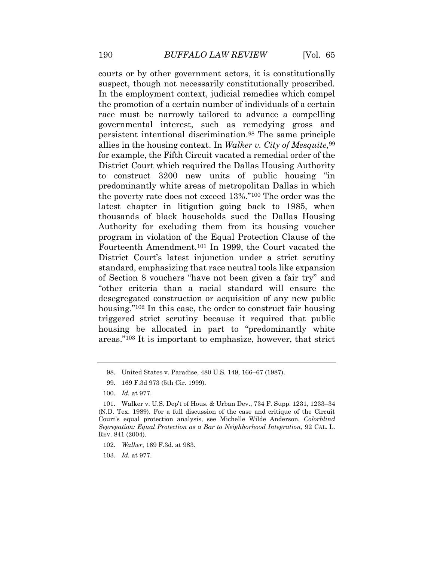courts or by other government actors, it is constitutionally the promotion of a certain number of individuals of a certain race must be narrowly tailored to advance a compelling governmental interest, such as remedying gross and for example, the Fifth Circuit vacated a remedial order of the predominantly white areas of metropolitan Dallas in which the poverty rate does not exceed 13%."100 The order was the thousands of black households sued the Dallas Housing Authority for excluding them from its housing voucher Fourteenth Amendment.101 In 1999, the Court vacated the District Court's latest injunction under a strict scrutiny of Section 8 vouchers "have not been given a fair try" and "other criteria than a racial standard will ensure the housing."<sup>102</sup> In this case, the order to construct fair housing housing be allocated in part to "predominantly white suspect, though not necessarily constitutionally proscribed. In the employment context, judicial remedies which compel persistent intentional [discrimination.98](https://discrimination.98) The same principle allies in the housing context. In *Walker v. City of Mesquite*,99 District Court which required the Dallas Housing Authority to construct 3200 new units of public housing "in latest chapter in litigation going back to 1985, when program in violation of the Equal Protection Clause of the standard, emphasizing that race neutral tools like expansion desegregated construction or acquisition of any new public triggered strict scrutiny because it required that public areas."103 It is important to emphasize, however, that strict

<sup>98.</sup> United States v. Paradise, 480 U.S. 149, 166–67 (1987).

<sup>99. 169</sup> F.3d 973 (5th Cir. 1999).

<sup>100.</sup> *Id.* at 977.

 101. Walker v. U.S. Dep't of Hous. & Urban Dev., 734 F. Supp. 1231, 1233–34 (N.D. Tex. 1989). For a full discussion of the case and critique of the Circuit Court's equal protection analysis, see Michelle Wilde Anderson, *Colorblind Segregation: Equal Protection as a Bar to Neighborhood Integration*, 92 CAL. L. REV. 841 (2004).

<sup>102.</sup> *Walker*, 169 F.3d. at 983.

<sup>103.</sup> *Id.* at 977.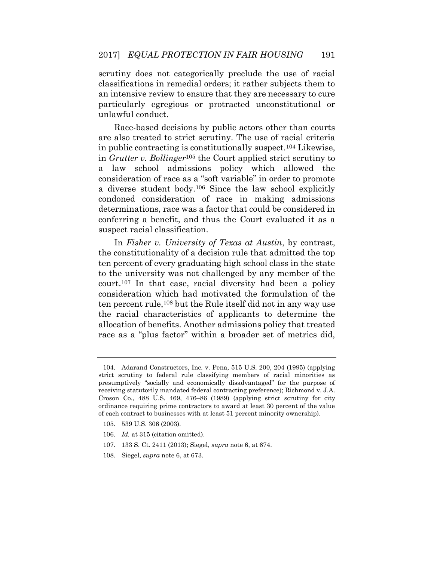an intensive review to ensure that they are necessary to cure particularly egregious or protracted unconstitutional or scrutiny does not categorically preclude the use of racial classifications in remedial orders; it rather subjects them to unlawful conduct.

 Race-based decisions by public actors other than courts are also treated to strict scrutiny. The use of racial criteria a law school admissions policy which allowed the a diverse student body.106 Since the law school explicitly determinations, race was a factor that could be considered in conferring a benefit, and thus the Court evaluated it as a in public contracting is constitutionally suspect.104 Likewise, in *Grutter v. Bollinger*105 the Court applied strict scrutiny to consideration of race as a "soft variable" in order to promote condoned consideration of race in making admissions suspect racial classification.

 the constitutionality of a decision rule that admitted the top ten percent of every graduating high school class in the state to the university was not challenged by any member of the court.107 In that case, racial diversity had been a policy consideration which had motivated the formulation of the ten percent rule,108 but the Rule itself did not in any way use allocation of benefits. Another admissions policy that treated race as a "plus factor" within a broader set of metrics did, In *Fisher v. University of Texas at Austin*, by contrast, the racial characteristics of applicants to determine the

- 106. *Id.* at 315 (citation omitted).
- 107. 133 S. Ct. 2411 (2013); Siegel, *supra* note 6, at 674.
- 108. Siegel, *supra* note 6, at 673.

 104. Adarand Constructors, Inc. v. Pena, 515 U.S. 200, 204 (1995) (applying strict scrutiny to federal rule classifying members of racial minorities as presumptively "socially and economically disadvantaged" for the purpose of Croson Co., 488 U.S. 469, 476–86 (1989) (applying strict scrutiny for city ordinance requiring prime contractors to award at least 30 percent of the value receiving statutorily mandated federal contracting preference); Richmond v. J.A. of each contract to businesses with at least 51 percent minority ownership).

<sup>105. 539</sup> U.S. 306 (2003).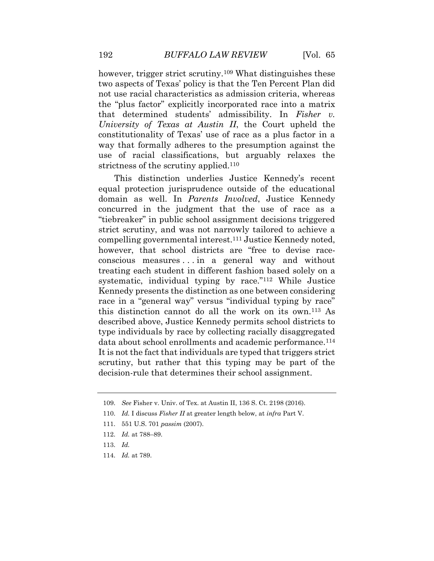two aspects of Texas' policy is that the Ten Percent Plan did the "plus factor" explicitly incorporated race into a matrix that determined students' admissibility. In *Fisher v.*  constitutionality of Texas' use of race as a plus factor in a however, trigger strict scrutiny.<sup>109</sup> What distinguishes these not use racial characteristics as admission criteria, whereas *University of Texas at Austin II*, the Court upheld the way that formally adheres to the presumption against the use of racial classifications, but arguably relaxes the strictness of the scrutiny applied.<sup>110</sup>

 "tiebreaker" in public school assignment decisions triggered strict scrutiny, and was not narrowly tailored to achieve a however, that school districts are "free to devise race- conscious measures . . . in a general way and without systematic, individual typing by race."<sup>112</sup> While Justice Kennedy presents the distinction as one between considering race in a "general way" versus "individual typing by race" this distinction cannot do all the work on its own.113 As described above, Justice Kennedy permits school districts to type individuals by race by collecting racially disaggregated data about school enrollments and academic performance.<sup>114</sup> This distinction underlies Justice Kennedy's recent equal protection jurisprudence outside of the educational domain as well. In *Parents Involved*, Justice Kennedy concurred in the judgment that the use of race as a compelling governmental interest.111 Justice Kennedy noted, treating each student in different fashion based solely on a It is not the fact that individuals are typed that triggers strict scrutiny, but rather that this typing may be part of the decision-rule that determines their school assignment.

114. *Id.* at 789.

<sup>109.</sup> *See* Fisher v. Univ. of Tex. at Austin II, 136 S. Ct. 2198 (2016).

<sup>110.</sup> *Id.* I discuss *Fisher II* at greater length below, at *infra* Part V.

<sup>111. 551</sup> U.S. 701 *passim* (2007).

<sup>112.</sup> *Id.* at 788–89.

<sup>113.</sup> *Id.*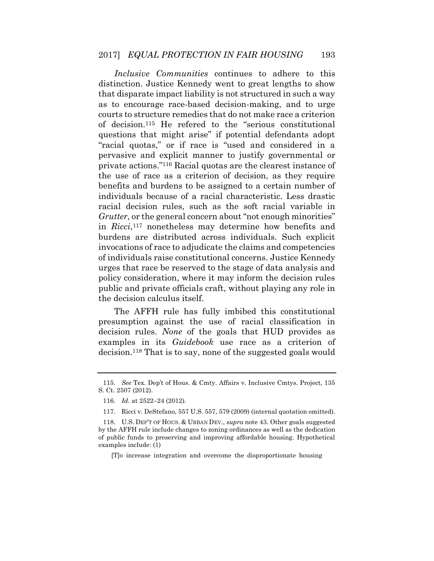distinction. Justice Kennedy went to great lengths to show that disparate impact liability is not structured in such a way as to encourage race-based decision-making, and to urge of decision.115 He refered to the "serious constitutional questions that might arise" if potential defendants adopt "racial quotas," or if race is "used and considered in a the use of race as a criterion of decision, as they require benefits and burdens to be assigned to a certain number of individuals because of a racial characteristic. Less drastic in *Ricci*,117 nonetheless may determine how benefits and burdens are distributed across individuals. Such explicit of individuals raise constitutional concerns. Justice Kennedy *Inclusive Communities* continues to adhere to this courts to structure remedies that do not make race a criterion pervasive and explicit manner to justify governmental or private actions."116 Racial quotas are the clearest instance of racial decision rules, such as the soft racial variable in *Grutter*, or the general concern about "not enough minorities" invocations of race to adjudicate the claims and competencies urges that race be reserved to the stage of data analysis and policy consideration, where it may inform the decision rules public and private officials craft, without playing any role in the decision calculus itself.

 The AFFH rule has fully imbibed this constitutional presumption against the use of racial classification in decision rules. *None* of the goals that HUD provides as examples in its *Guidebook* use race as a criterion of decision.118 That is to say, none of the suggested goals would

[T]o increase integration and overcome the disproportionate housing

<sup>115.</sup> *See* Tex. Dep't of Hous. & Cmty. Affairs v. Inclusive Cmtys. Project, 135 S. Ct. 2507 (2012).

<sup>116.</sup> *Id.* at 2522–24 (2012).

 117. Ricci v. DeStefano, 557 U.S. 557, 579 (2009) (internal quotation omitted).

 118. U.S. DEP'T OF HOUS. & URBAN DEV., *supra* note 43. Other goals suggested by the AFFH rule include changes to zoning ordinances as well as the dedication of public funds to preserving and improving affordable housing. Hypothetical examples include: (1)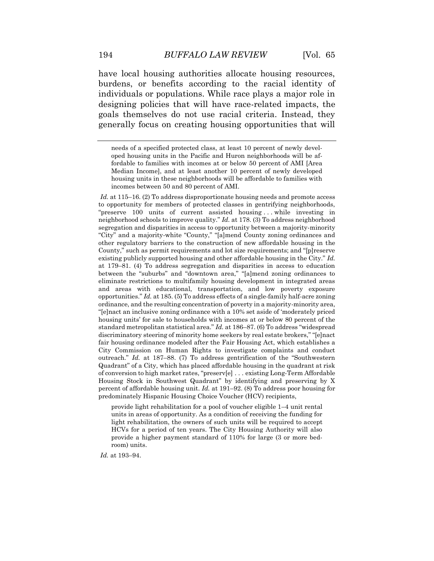burdens, or benefits according to the racial identity of individuals or populations. While race plays a major role in generally focus on creating housing opportunities that will have local housing authorities allocate housing resources, designing policies that will have race-related impacts, the goals themselves do not use racial criteria. Instead, they

 *Id.* at 115–16. (2) To address disproportionate housing needs and promote access to opportunity for members of protected classes in gentrifying neighborhoods, "preserve 100 units of current assisted housing . . . while investing in neighborhood schools to improve quality." *Id.* at 178. (3) To address neighborhood segregation and disparities in access to opportunity between a majority-minority "City" and a majority-white "County," "[a]mend County zoning ordinances and other regulatory barriers to the construction of new affordable housing in the County," such as permit requirements and lot size requirements; and "[p]reserve existing publicly supported housing and other affordable housing in the City." *Id.*  at 179–81. (4) To address segregation and disparities in access to education between the "suburbs" and "downtown area," "[a]mend zoning ordinances to eliminate restrictions to multifamily housing development in integrated areas and areas with educational, transportation, and low poverty exposure opportunities." *Id.* at 185. (5) To address effects of a single-family half-acre zoning ordinance, and the resulting concentration of poverty in a majority-minority area, "[e]nact an inclusive zoning ordinance with a 10% set aside of 'moderately priced housing units' for sale to households with incomes at or below 80 percent of the standard metropolitan statistical area." *Id.* at 186–87. (6) To address "widespread discriminatory steering of minority home seekers by real estate brokers," "[e]nact fair housing ordinance modeled after the Fair Housing Act, which establishes a City Commission on Human Rights to investigate complaints and conduct outreach." *Id.* at 187–88. (7) To address gentrification of the "Southwestern of conversion to high market rates, "preserv[e] . . . existing Long-Term Affordable Housing Stock in Southwest Quadrant" by identifying and preserving by X Quadrant" of a City, which has placed affordable housing in the quadrant at risk percent of affordable housing unit. *Id.* at 191–92. (8) To address poor housing for predominately Hispanic Housing Choice Voucher (HCV) recipients,

 provide light rehabilitation for a pool of voucher eligible 1–4 unit rental light rehabilitation, the owners of such units will be required to accept HCVs for a period of ten years. The City Housing Authority will also provide a higher payment standard of 110% for large (3 or more bedunits in areas of opportunity. As a condition of receiving the funding for room) units.

*Id.* at 193–94.

 needs of a specified protected class, at least 10 percent of newly devel- oped housing units in the Pacific and Huron neighborhoods will be af- fordable to families with incomes at or below 50 percent of AMI [Area Median Income], and at least another 10 percent of newly developed housing units in these neighborhoods will be affordable to families with incomes between 50 and 80 percent of AMI.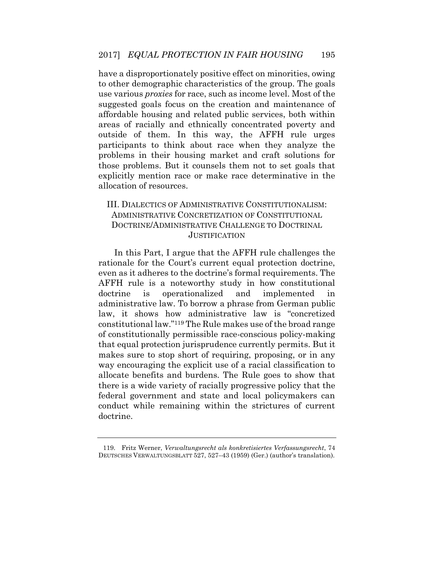affordable housing and related public services, both within areas of racially and ethnically concentrated poverty and participants to think about race when they analyze the problems in their housing market and craft solutions for have a disproportionately positive effect on minorities, owing to other demographic characteristics of the group. The goals use various *proxies* for race, such as income level. Most of the suggested goals focus on the creation and maintenance of outside of them. In this way, the AFFH rule urges those problems. But it counsels them not to set goals that explicitly mention race or make race determinative in the allocation of resources.

# III. DIALECTICS OF ADMINISTRATIVE CONSTITUTIONALISM: ADMINISTRATIVE CONCRETIZATION OF CONSTITUTIONAL DOCTRINE/ADMINISTRATIVE CHALLENGE TO DOCTRINAL **JUSTIFICATION**

 In this Part, I argue that the AFFH rule challenges the AFFH rule is a noteworthy study in how constitutional doctrine is operationalized and implemented in law, it shows how administrative law is "concretized makes sure to stop short of requiring, proposing, or in any way encouraging the explicit use of a racial classification to there is a wide variety of racially progressive policy that the federal government and state and local policymakers can rationale for the Court's current equal protection doctrine, even as it adheres to the doctrine's formal requirements. The administrative law. To borrow a phrase from German public constitutional law."119 The Rule makes use of the broad range of constitutionally permissible race-conscious policy-making that equal protection jurisprudence currently permits. But it allocate benefits and burdens. The Rule goes to show that conduct while remaining within the strictures of current doctrine.

<sup>119.</sup> Fritz Werner, *Verwaltungsrecht als konkretisiertes Verfassungsrecht*, 74 DEUTSCHES VERWALTUNGSBLATT 527, 527–43 (1959) (Ger.) (author's translation).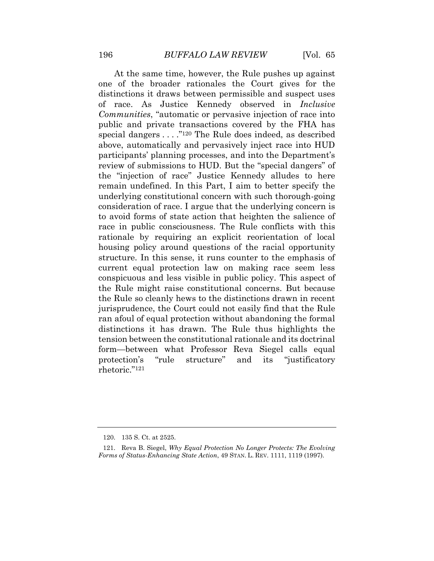At the same time, however, the Rule pushes up against one of the broader rationales the Court gives for the of race. As Justice Kennedy observed in *Inclusive Communities*, "automatic or pervasive injection of race into public and private transactions covered by the FHA has above, automatically and pervasively inject race into HUD participants' planning processes, and into the Department's review of submissions to HUD. But the "special dangers" of to avoid forms of state action that heighten the salience of race in public consciousness. The Rule conflicts with this housing policy around questions of the racial opportunity structure. In this sense, it runs counter to the emphasis of conspicuous and less visible in public policy. This aspect of the Rule might raise constitutional concerns. But because the Rule so cleanly hews to the distinctions drawn in recent jurisprudence, the Court could not easily find that the Rule distinctions it has drawn. The Rule thus highlights the form—between what Professor Reva Siegel calls equal and distinctions it draws between permissible and suspect uses special dangers . . . ."120 The Rule does indeed, as described the "injection of race" Justice Kennedy alludes to here remain undefined. In this Part, I aim to better specify the underlying constitutional concern with such thorough-going consideration of race. I argue that the underlying concern is rationale by requiring an explicit reorientation of local current equal protection law on making race seem less ran afoul of equal protection without abandoning the formal tension between the constitutional rationale and its doctrinal protection's "rule structure" and its "justificatory rhetoric."<sup>121</sup>

<sup>120. 135</sup> S. Ct. at 2525.

 121. Reva B. Siegel, *Why Equal Protection No Longer Protects: The Evolving Forms of Status-Enhancing State Action*, 49 STAN. L. REV. 1111, 1119 (1997).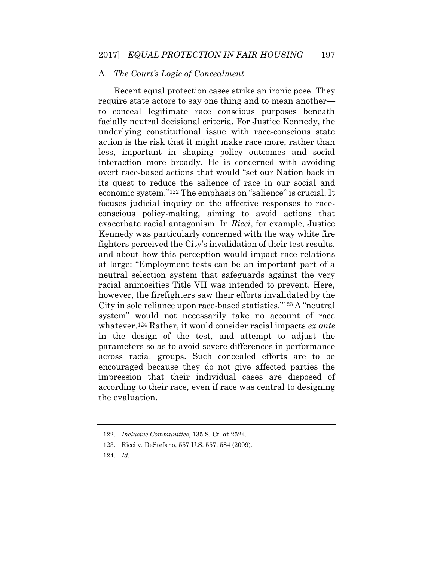# A. *The Court's Logic of Concealment*

 require state actors to say one thing and to mean another— facially neutral decisional criteria. For Justice Kennedy, the action is the risk that it might make race more, rather than less, important in shaping policy outcomes and social overt race-based actions that would "set our Nation back in its quest to reduce the salience of race in our social and focuses judicial inquiry on the affective responses to race- conscious policy-making, aiming to avoid actions that exacerbate racial antagonism. In *Ricci*, for example, Justice Kennedy was particularly concerned with the way white fire however, the firefighters saw their efforts invalidated by the system" would not necessarily take no account of race whatever.124 Rather, it would consider racial impacts *ex ante*  in the design of the test, and attempt to adjust the across racial groups. Such concealed efforts are to be impression that their individual cases are disposed of Recent equal protection cases strike an ironic pose. They to conceal legitimate race conscious purposes beneath underlying constitutional issue with race-conscious state interaction more broadly. He is concerned with avoiding economic system."122 The emphasis on "salience" is crucial. It fighters perceived the City's invalidation of their test results, and about how this perception would impact race relations at large: "Employment tests can be an important part of a neutral selection system that safeguards against the very racial animosities Title VII was intended to prevent. Here, City in sole reliance upon race-based statistics."123 A "neutral parameters so as to avoid severe differences in performance encouraged because they do not give affected parties the according to their race, even if race was central to designing the evaluation.

<sup>122.</sup> *Inclusive Communities*, 135 S. Ct. at 2524.

<sup>123.</sup> Ricci v. DeStefano, 557 U.S. 557, 584 (2009).

<sup>124.</sup> *Id.*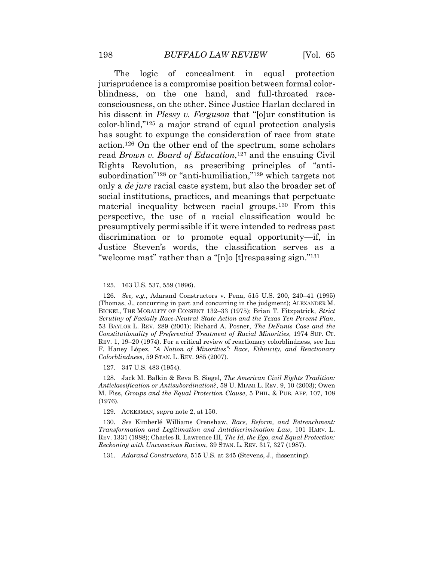consciousness, on the other. Since Justice Harlan declared in color-blind,"125 a major strand of equal protection analysis action.126 On the other end of the spectrum, some scholars only a *de jure* racial caste system, but also the broader set of perspective, the use of a racial classification would be presumptively permissible if it were intended to redress past The logic of concealment in equal protection jurisprudence is a compromise position between formal colorblindness, on the one hand, and full-throated racehis dissent in *Plessy v. Ferguson* that "[o]ur constitution is has sought to expunge the consideration of race from state read *Brown v. Board of Education*,<sup>127</sup> and the ensuing Civil Rights Revolution, as prescribing principles of "antisubordination"128 or "anti-humiliation,"129 which targets not social institutions, practices, and meanings that perpetuate material inequality between racial groups.130 From this discrimination or to promote equal opportunity—if, in Justice Steven's words, the classification serves as a "welcome mat" rather than a "[n]o [t]respassing sign."<sup>131</sup>

127. 347 U.S. 483 (1954).

 128. Jack M. Balkin & Reva B. Siegel, *The American Civil Rights Tradition: Anticlassification or Antisubordination?*, 58 U. MIAMI L. REV. 9, 10 (2003); Owen  M. Fiss, *Groups and the Equal Protection Clause*, 5 PHIL. & PUB. AFF. 107, 108 (1976).

129. ACKERMAN, *supra* note 2, at 150.

 130. *See* Kimberlé Williams Crenshaw, *Race, Reform, and Retrenchment: Transformation and Legitimation and Antidiscrimination Law*, 101 HARV. L. REV. 1331 (1988); Charles R. Lawrence III, *The Id, the Ego, and Equal Protection: Reckoning with Unconscious Racism*, 39 STAN. L. REV. 317, 327 (1987).

131. *Adarand Constructors*, 515 U.S. at 245 (Stevens, J., dissenting).

<sup>125. 163</sup> U.S. 537, 559 (1896).

 126. *See, e.g.*, Adarand Constructors v. Pena, 515 U.S. 200, 240–41 (1995) (Thomas, J., concurring in part and concurring in the judgment); ALEXANDER M.  *Scrutiny of Facially Race-Neutral State Action and the Texas Ten Percent Plan*,  53 BAYLOR L. REV. 289 (2001); Richard A. Posner, *The DeFunis Case and the*  REV. 1, 19–20 (1974). For a critical review of reactionary colorblindness, see Ian  F. Haney López, *"A Nation of Minorities": Race, Ethnicity, and Reactionary* BICKEL, THE MORALITY OF CONSENT 132–33 (1975); Brian T. Fitzpatrick, *Strict Constitutionality of Preferential Treatment of Racial Minorities*, 1974 SUP. CT. *Colorblindness*, 59 STAN. L. REV. 985 (2007).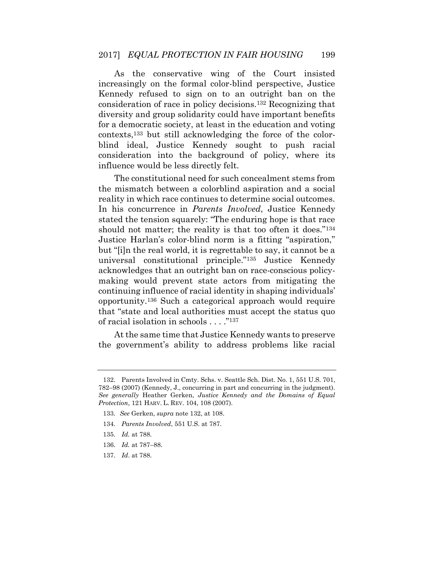Kennedy refused to sign on to an outright ban on the consideration into the background of policy, where its As the conservative wing of the Court insisted increasingly on the formal color-blind perspective, Justice consideration of race in policy decisions.132 Recognizing that diversity and group solidarity could have important benefits for a democratic society, at least in the education and voting contexts,133 but still acknowledging the force of the colorblind ideal, Justice Kennedy sought to push racial influence would be less directly felt.

 The constitutional need for such concealment stems from the mismatch between a colorblind aspiration and a social should not matter; the reality is that too often it does."<sup>134</sup> Justice Harlan's color-blind norm is a fitting "aspiration," but "[i]n the real world, it is regrettable to say, it cannot be a making would prevent state actors from mitigating the continuing influence of racial identity in shaping individuals' that "state and local authorities must accept the status quo reality in which race continues to determine social outcomes. In his concurrence in *Parents Involved*, Justice Kennedy stated the tension squarely: "The enduring hope is that race universal constitutional principle."135 Justice Kennedy acknowledges that an outright ban on race-conscious policyopportunity.136 Such a categorical approach would require of racial isolation in schools . . . ."<sup>137</sup>

 the government's ability to address problems like racial At the same time that Justice Kennedy wants to preserve

 132. Parents Involved in Cmty. Schs. v. Seattle Sch. Dist. No. 1, 551 U.S. 701, *See generally* Heather Gerken, *Justice Kennedy and the Domains of Equal*  782–98 (2007) (Kennedy, J., concurring in part and concurring in the judgment). *Protection*, 121 HARV. L. REV. 104, 108 (2007).

<sup>133.</sup> *See* Gerken, *supra* note 132, at 108.

<sup>134.</sup> *Parents Involved*, 551 U.S. at 787.

<sup>135.</sup> *Id.* at 788.

<sup>136.</sup> *Id.* at 787–88.

<sup>137.</sup> *Id*. at 788.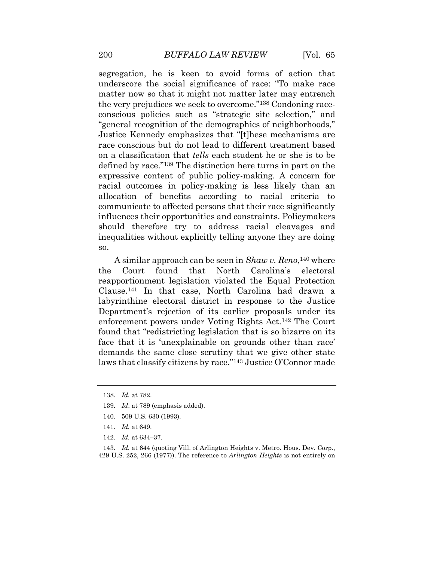segregation, he is keen to avoid forms of action that underscore the social significance of race: "To make race matter now so that it might not matter later may entrench the very prejudices we seek to overcome."138 Condoning race- conscious policies such as "strategic site selection," and Justice Kennedy emphasizes that "[t]hese mechanisms are race conscious but do not lead to different treatment based defined by race."139 The distinction here turns in part on the expressive content of public policy-making. A concern for racial outcomes in policy-making is less likely than an allocation of benefits according to racial criteria to "general recognition of the demographics of neighborhoods," on a classification that *tells* each student he or she is to be communicate to affected persons that their race significantly influences their opportunities and constraints. Policymakers should therefore try to address racial cleavages and inequalities without explicitly telling anyone they are doing so.

 reapportionment legislation violated the Equal Protection Clause.141 In that case, North Carolina had drawn a Department's rejection of its earlier proposals under its enforcement powers under Voting Rights Act.142 The Court face that it is 'unexplainable on grounds other than race' demands the same close scrutiny that we give other state laws that classify citizens by race."143 Justice O'Connor made A similar approach can be seen in *Shaw v. Reno*,140 where the Court found that North Carolina's electoral labyrinthine electoral district in response to the Justice found that "redistricting legislation that is so bizarre on its

- 141. *Id.* at 649.
- 142. *Id.* at 634–37.

 143. *Id.* at 644 (quoting Vill. of Arlington Heights v. Metro. Hous. Dev. Corp., 429 U.S. 252, 266 (1977)). The reference to *Arlington Heights* is not entirely on

<sup>138.</sup> *Id.* at 782.

<sup>139.</sup> *Id*. at 789 (emphasis added).

<sup>140. 509</sup> U.S. 630 (1993).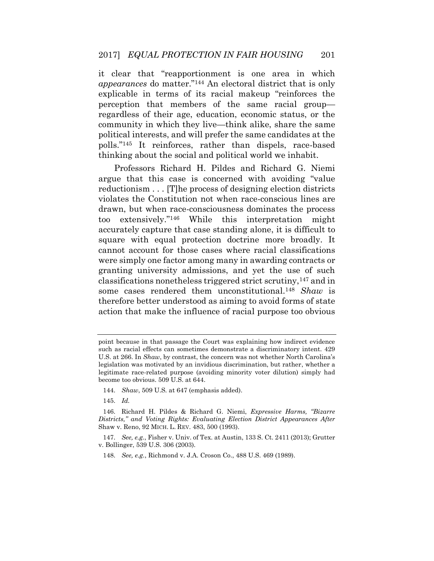it clear that "reapportionment is one area in which explicable in terms of its racial makeup "reinforces the regardless of their age, education, economic status, or the political interests, and will prefer the same candidates at the polls."145 It reinforces, rather than dispels, race-based *appearances* do matter."144 An electoral district that is only perception that members of the same racial group community in which they live—think alike, share the same thinking about the social and political world we inhabit.

 Professors Richard H. Pildes and Richard G. Niemi argue that this case is concerned with avoiding "value violates the Constitution not when race-conscious lines are were simply one factor among many in awarding contracts or classifications nonetheless triggered strict scrutiny,147 and in some cases rendered them unconstitutional.148 *Shaw* is therefore better understood as aiming to avoid forms of state action that make the influence of racial purpose too obvious reductionism . . . [T]he process of designing election districts drawn, but when race-consciousness dominates the process too extensively."146 While this interpretation might accurately capture that case standing alone, it is difficult to square with equal protection doctrine more broadly. It cannot account for those cases where racial classifications granting university admissions, and yet the use of such

 point because in that passage the Court was explaining how indirect evidence such as racial effects can sometimes demonstrate a discriminatory intent. 429 legislation was motivated by an invidious discrimination, but rather, whether a legitimate race-related purpose (avoiding minority voter dilution) simply had U.S. at 266. In *Shaw*, by contrast, the concern was not whether North Carolina's become too obvious. 509 U.S. at 644.

<sup>144.</sup> *Shaw*, 509 U.S*.* at 647 (emphasis added).

<sup>145.</sup> *Id.* 

 *Districts," and Voting Rights: Evaluating Election District Appearances After* 146. Richard H. Pildes & Richard G. Niemi, *Expressive Harms, "Bizarre* Shaw v. Reno, 92 MICH. L. REV. 483, 500 (1993).

 147. *See, e.g.*, Fisher v. Univ. of Tex. at Austin, 133 S. Ct. 2411 (2013); Grutter v. Bollinger, 539 U.S. 306 (2003).

<sup>148.</sup> *See, e.g.*, Richmond v. J.A. Croson Co., 488 U.S. 469 (1989).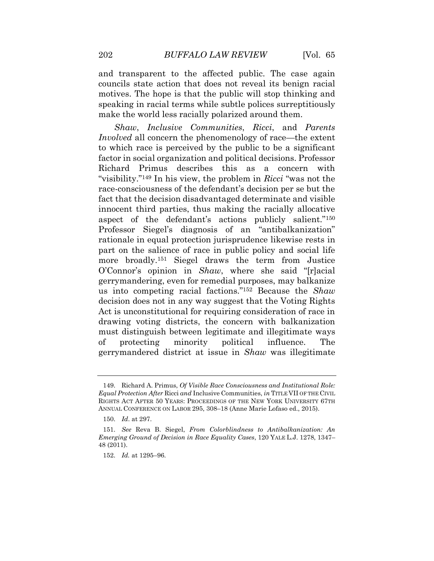motives. The hope is that the public will stop thinking and speaking in racial terms while subtle polices surreptitiously and transparent to the affected public. The case again councils state action that does not reveal its benign racial make the world less racially polarized around them.

 to which race is perceived by the public to be a significant factor in social organization and political decisions. Professor Richard Primus describes this as a concern with race-consciousness of the defendant's decision per se but the fact that the decision disadvantaged determinate and visible innocent third parties, thus making the racially allocative aspect of the defendant's actions publicly salient."<sup>150</sup> part on the salience of race in public policy and social life O'Connor's opinion in *Shaw*, where she said "[r]acial Act is unconstitutional for requiring consideration of race in *Shaw*, *Inclusive Communities*, *Ricci*, and *Parents Involved* all concern the phenomenology of race—the extent "visibility."149 In his view, the problem in *Ricci* "was not the Professor Siegel's diagnosis of an "antibalkanization" rationale in equal protection jurisprudence likewise rests in more broadly.151 Siegel draws the term from Justice gerrymandering, even for remedial purposes, may balkanize us into competing racial factions."152 Because the *Shaw*  decision does not in any way suggest that the Voting Rights drawing voting districts, the concern with balkanization must distinguish between legitimate and illegitimate ways of protecting minority political influence. The gerrymandered district at issue in *Shaw* was illegitimate

 149. Richard A. Primus, *Of Visible Race Consciousness and Institutional Role:*  RIGHTS ACT AFTER 50 YEARS: PROCEEDINGS OF THE NEW YORK UNIVERSITY 67TH ANNUAL CONFERENCE ON LABOR 295, 308–18 (Anne Marie Lofaso ed., 2015). *Equal Protection After* Ricci *and* Inclusive Communities, *in* TITLE VII OF THE CIVIL

<sup>150.</sup> *Id*. at 297.

 151. *See* Reva B. Siegel, *From Colorblindness to Antibalkanization: An Emerging Ground of Decision in Race Equality Cases*, 120 YALE L.J. 1278, 1347– 48 (2011).

<sup>152.</sup> *Id.* at 1295–96.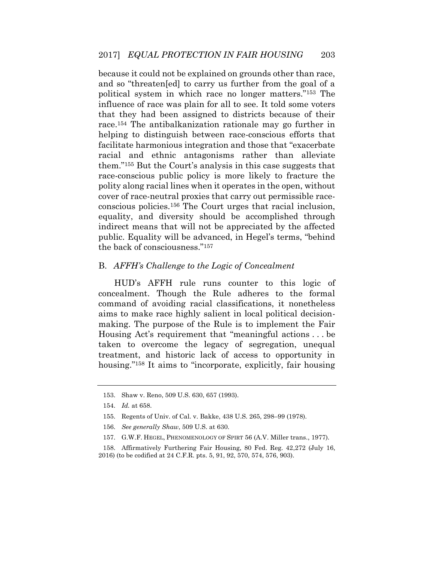because it could not be explained on grounds other than race, and so "threaten[ed] to carry us further from the goal of a political system in which race no longer matters."153 The influence of race was plain for all to see. It told some voters that they had been assigned to districts because of their race.154 The antibalkanization rationale may go further in facilitate harmonious integration and those that "exacerbate racial and ethnic antagonisms rather than alleviate race-conscious public policy is more likely to fracture the polity along racial lines when it operates in the open, without conscious policies.156 The Court urges that racial inclusion, equality, and diversity should be accomplished through indirect means that will not be appreciated by the affected public. Equality will be advanced, in Hegel's terms, "behind helping to distinguish between race-conscious efforts that them."155 But the Court's analysis in this case suggests that cover of race-neutral proxies that carry out permissible racethe back of consciousness."<sup>157</sup>

#### B. *AFFH's Challenge to the Logic of Concealment*

 HUD's AFFH rule runs counter to this logic of command of avoiding racial classifications, it nonetheless aims to make race highly salient in local political decision- taken to overcome the legacy of segregation, unequal treatment, and historic lack of access to opportunity in housing."<sup>158</sup> It aims to "incorporate, explicitly, fair housing concealment. Though the Rule adheres to the formal making. The purpose of the Rule is to implement the Fair Housing Act's requirement that "meaningful actions . . . be

<sup>153.</sup> Shaw v. Reno, 509 U.S. 630, 657 (1993).

<sup>154.</sup> *Id.* at 658.

<sup>155.</sup> Regents of Univ. of Cal. v. Bakke, 438 U.S. 265, 298–99 (1978).

<sup>156.</sup> *See generally Shaw*, 509 U.S. at 630.

<sup>157.</sup> G.W.F. HEGEL, PHENOMENOLOGY OF SPIRT 56 (A.V. Miller trans., 1977).

 158. Affirmatively Furthering Fair Housing, 80 Fed. Reg. 42,272 (July 16, 2016) (to be codified at 24 C.F.R. pts. 5, 91, 92, 570, 574, 576, 903).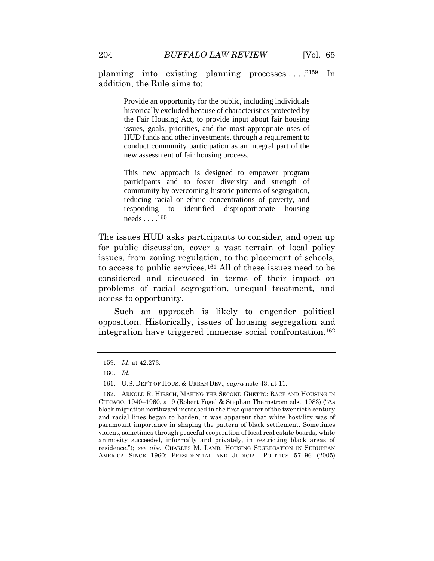planning into existing planning processes . . . ."159 In addition, the Rule aims to:

> historically excluded because of characteristics protected by the Fair Housing Act, to provide input about fair housing issues, goals, priorities, and the most appropriate uses of HUD funds and other investments, through a requirement to conduct community participation as an integral part of the Provide an opportunity for the public, including individuals new assessment of fair housing process.

> This new approach is designed to empower program participants and to foster diversity and strength of community by overcoming historic patterns of segregation, reducing racial or ethnic concentrations of poverty, and responding to identified disproportionate housing needs . . . . <sup>160</sup>

 The issues HUD asks participants to consider, and open up for public discussion, cover a vast terrain of local policy to access to public services.161 All of these issues need to be considered and discussed in terms of their impact on problems of racial segregation, unequal treatment, and issues, from zoning regulation, to the placement of schools, access to opportunity.

 Such an approach is likely to engender political opposition. Historically, issues of housing segregation and integration have triggered immense social confrontation.162

<sup>159.</sup> *Id*. at 42,273.

<sup>160.</sup> *Id.* 

<sup>161.</sup> U.S. DEP'T OF HOUS. & URBAN DEV., *supra* note 43, at 11.

<sup>162.</sup> ARNOLD R. HIRSCH, MAKING THE SECOND GHETTO: RACE AND HOUSING IN CHICAGO, 1940–1960, at 9 (Robert Fogel & Stephan Thernstrom eds., 1983) ("As black migration northward increased in the first quarter of the twentieth century and racial lines began to harden, it was apparent that white hostility was of paramount importance in shaping the pattern of black settlement. Sometimes violent, sometimes through peaceful cooperation of local real estate boards, white animosity succeeded, informally and privately, in restricting black areas of residence."); *see also* CHARLES M. LAMB, HOUSING SEGREGATION IN SUBURBAN AMERICA SINCE 1960: PRESIDENTIAL AND JUDICIAL POLITICS 57–96 (2005)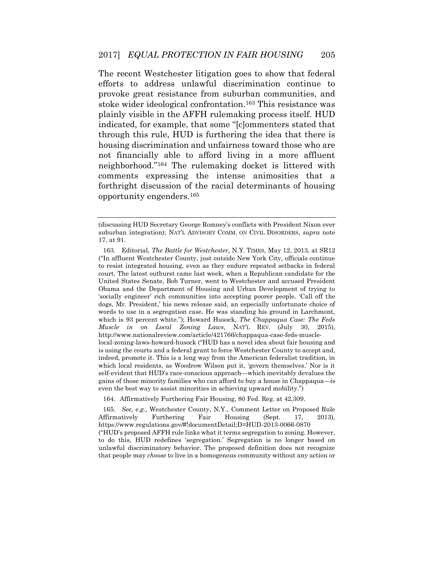The recent Westchester litigation goes to show that federal stoke wider ideological confrontation.<sup>163</sup> This resistance was plainly visible in the AFFH rulemaking process itself. HUD indicated, for example, that some "[c]ommenters stated that not financially able to afford living in a more affluent comments expressing the intense animosities that a efforts to address unlawful discrimination continue to provoke great resistance from suburban communities, and through this rule, HUD is furthering the idea that there is housing discrimination and unfairness toward those who are neighborhood."164 The rulemaking docket is littered with forthright discussion of the racial determinants of housing opportunity engenders.165

164. Affirmatively Furthering Fair Housing, 80 Fed. Reg. at 42,309.

 165. *See, e.g.*, Westchester County, N.Y., Comment Letter on Proposed Rule Furthering ("HUD's proposed AFFH rule links what it terms segregation to zoning. However, to do this, HUD redefines 'segregation.' Segregation is no longer based on that people may *choose* to live in a homogenous community without any action or Affirmatively Furthering Fair Housing (Sept. 17, 2013), <https://www.regulations.gov/#!documentDetail;D=HUD-2013-0066-0870> unlawful discriminatory behavior. The proposed definition does not recognize

 (discussing HUD Secretary George Romney's conflicts with President Nixon over suburban integration); NAT'L ADVISORY COMM. ON CIVIL DISORDERS, *supra* note 17, at 91.

 163. Editorial, *The Battle for Westchester*, N.Y. TIMES, May 12, 2013, at SR12 ("In affluent Westchester County, just outside New York City, officials continue to resist integrated housing, even as they endure repeated setbacks in federal court. The latest outburst came last week, when a Republican candidate for the United States Senate, Bob Turner, went to Westchester and accused President Obama and the Department of Housing and Urban Development of trying to 'socially engineer' rich communities into accepting poorer people. 'Call off the dogs, Mr. President,' his news release said, an especially unfortunate choice of words to use in a segregation case. He was standing his ground in Larchmont, which is 93 percent white."); Howard Husock, *The Chappaqua Case: The Feds Muscle in on Local Zoning Laws*, NAT'L REV. (July 30, 2015), local-zoning-laws-howard-husock ("HUD has a novel idea about fair housing and is using the courts and a federal grant to force Westchester County to accept and, indeed, promote it. This is a long way from the American federalist tradition, in which local residents, as Woodrow Wilson put it, 'govern themselves.' Nor is it self-evident that HUD's race-conscious approach—which inevitably devalues the <http://www.nationalreview.com/article/421766/chappaqua-case-feds-muscle>gains of those minority families who can afford to buy a house in Chappaqua—is even the best way to assist minorities in achieving upward mobility.")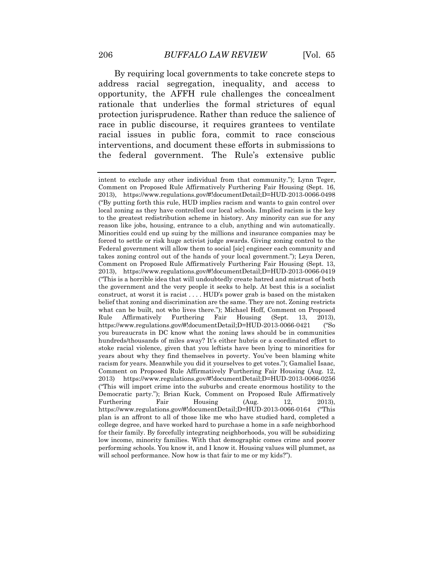address racial segregation, inequality, and access to rationale that underlies the formal strictures of equal racial issues in public fora, commit to race conscious interventions, and document these efforts in submissions to By requiring local governments to take concrete steps to opportunity, the AFFH rule challenges the concealment protection jurisprudence. Rather than reduce the salience of race in public discourse, it requires grantees to ventilate the federal government. The Rule's extensive public

 intent to exclude any other individual from that community."); Lynn Teger, ("By putting forth this rule, HUD implies racism and wants to gain control over local zoning as they have controlled our local schools. Implied racism is the key to the greatest redistribution scheme in history. Any minority can sue for any reason like jobs, housing, entrance to a club, anything and win automatically. Minorities could end up suing by the millions and insurance companies may be forced to settle or risk huge activist judge awards. Giving zoning control to the takes zoning control out of the hands of your local government."); Leya Deren, ("This is a horrible idea that will undoubtedly create hatred and mistrust of both the government and the very people it seeks to help. At best this is a socialist construct, at worst it is racist . . . . HUD's power grab is based on the mistaken belief that zoning and discrimination are the same. They are not. Zoning restricts what can be built, not who lives there."); Michael Hoff, Comment on Proposed [https://www.regulations.gov/#!documentDetail;D=HUD-2013-0066-](https://www.regulations.gov/#!documentDetail;D=HUD-2013-0066-0421)0421 ("So you bureaucrats in DC know what the zoning laws should be in communities hundreds/thousands of miles away? It's either hubris or a coordinated effort to stoke racial violence, given that you leftists have been lying to minorities for years about why they find themselves in poverty. You've been blaming white racism for years. Meanwhile you did it yourselves to get votes."); Gamaliel Isaac, ("This will import crime into the suburbs and create enormous hostility to the [https://www.regulations.gov/#!documentDetail;D=HUD-2013-0066-](https://www.regulations.gov/#!documentDetail;D=HUD-2013-0066-0164)0164 ("This plan is an affront to all of those like me who have studied hard, completed a college degree, and have worked hard to purchase a home in a safe neighborhood for their family. By forcefully integrating neighborhoods, you will be subsidizing low income, minority families. With that demographic comes crime and poorer performing schools. You know it, and I know it. Housing values will plummet, as Comment on Proposed Rule Affirmatively Furthering Fair Housing (Sept. 16, 2013), <https://www.regulations.gov/#!documentDetail;D=HUD-2013-0066-0498> Federal government will allow them to social [sic] engineer each community and Comment on Proposed Rule Affirmatively Furthering Fair Housing (Sept. 13, 2013), <https://www.regulations.gov/#!documentDetail;D=HUD-2013-0066-0419> Rule Affirmatively Furthering Fair Housing (Sept. 13, 2013), Comment on Proposed Rule Affirmatively Furthering Fair Housing (Aug. 12, 2013) <https://www.regulations.gov/#!documentDetail;D=HUD-2013-0066-0256> Democratic party."); Brian Kuck, Comment on Proposed Rule Affirmatively Furthering Fair Housing (Aug. 12, 2013), will school performance. Now how is that fair to me or my kids?").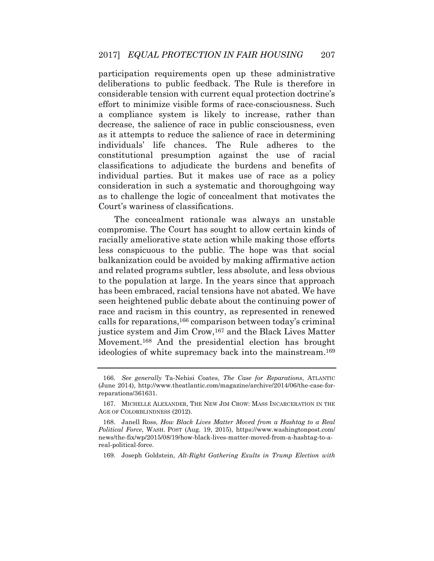deliberations to public feedback. The Rule is therefore in a compliance system is likely to increase, rather than classifications to adjudicate the burdens and benefits of individual parties. But it makes use of race as a policy consideration in such a systematic and thoroughgoing way participation requirements open up these administrative considerable tension with current equal protection doctrine's effort to minimize visible forms of race-consciousness. Such decrease, the salience of race in public consciousness, even as it attempts to reduce the salience of race in determining individuals' life chances. The Rule adheres to the constitutional presumption against the use of racial as to challenge the logic of concealment that motivates the Court's wariness of classifications.

 compromise. The Court has sought to allow certain kinds of balkanization could be avoided by making affirmative action and related programs subtler, less absolute, and less obvious has been embraced, racial tensions have not abated. We have seen heightened public debate about the continuing power of ideologies of white supremacy back into the mainstream.169 The concealment rationale was always an unstable racially ameliorative state action while making those efforts less conspicuous to the public. The hope was that social to the population at large. In the years since that approach race and racism in this country, as represented in renewed calls for reparations,166 comparison between today's criminal justice system and Jim Crow,167 and the Black Lives Matter Movement.168 And the presidential election has brought

 169. Joseph Goldstein, *Alt-Right Gathering Exults in Trump Election with* 

 166. *See generally* Ta-Nehisi Coates, *The Case for Reparations*, ATLANTIC (June 2014), <http://www.theatlantic.com/magazine/archive/2014/06/the-case-for>reparations/361631.

 167. MICHELLE ALEXANDER, THE NEW JIM CROW: MASS INCARCERATION IN THE AGE OF COLORBLINDNESS (2012).

 168. Janell Ross, *How Black Lives Matter Moved from a Hashtag to a Real Political Force*, WASH. POST (Aug. 19, 2015), [https://www.washingtonpost.com/](https://www.washingtonpost.com) news/the-fix/wp/2015/08/19/how-black-lives-matter-moved-from-a-hashtag-to-areal-political-force.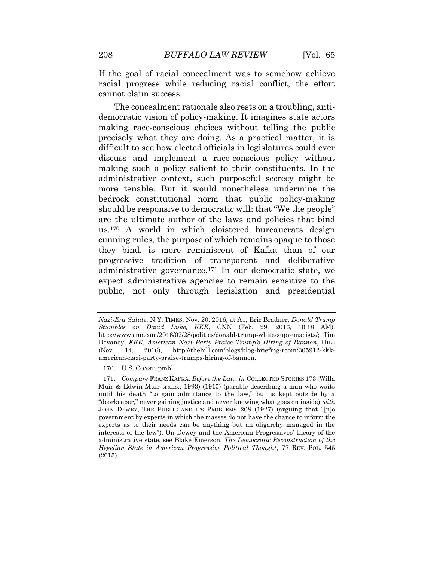If the goal of racial concealment was to somehow achieve racial progress while reducing racial conflict, the effort cannot claim success.

 The concealment rationale also rests on a troubling, anti- democratic vision of policy-making. It imagines state actors precisely what they are doing. As a practical matter, it is difficult to see how elected officials in legislatures could ever discuss and implement a race-conscious policy without making such a policy salient to their constituents. In the administrative context, such purposeful secrecy might be more tenable. But it would nonetheless undermine the are the ultimate author of the laws and policies that bind administrative governance.171 In our democratic state, we making race-conscious choices without telling the public bedrock constitutional norm that public policy-making should be responsive to democratic will: that "We the people" us.170 A world in which cloistered bureaucrats design cunning rules, the purpose of which remains opaque to those they bind, is more reminiscent of Kafka than of our progressive tradition of transparent and deliberative expect administrative agencies to remain sensitive to the public, not only through legislation and presidential

 *Stumbles on David Duke, KKK*, CNN (Feb. 29, 2016, 10:18 AM),  Devaney, *KKK, American Nazi Party Praise Trump's Hiring of Bannon*, HILL *Nazi-Era Salute*, N.Y. TIMES, Nov. 20, 2016, at A1; Eric Bradner, *Donald Trump*  [http://www.cnn.com/2016/02/28/politics/donald-trump-white-supremacists/](http://www.cnn.com/2016/02/28/politics/donald-trump-white-supremacists); Tim (Nov. 14, 2016), <http://thehill.com/blogs/blog-briefing-room/305912-kkk>american-nazi-party-praise-trumps-hiring-of-bannon.

<sup>170.</sup> U.S. CONST. pmbl.

 Muir & Edwin Muir trans., 1993) (1915) (parable describing a man who waits until his death "to gain admittance to the law," but is kept outside by a "doorkeeper," never gaining justice and never knowing what goes on inside) *with*  government by experts in which the masses do not have the chance to inform the experts as to their needs can be anything but an oligarchy managed in the interests of the few"). On Dewey and the American Progressives' theory of the administrative state, see Blake Emerson, *The Democratic Reconstruction of the*  171. *Compare* FRANZ KAFKA, *Before the Law*, *in* COLLECTED STORIES 173 (Willa JOHN DEWEY, THE PUBLIC AND ITS PROBLEMS 208 (1927) (arguing that "[n]o *Hegelian State in American Progressive Political Thought*, 77 REV. POL. 545 (2015).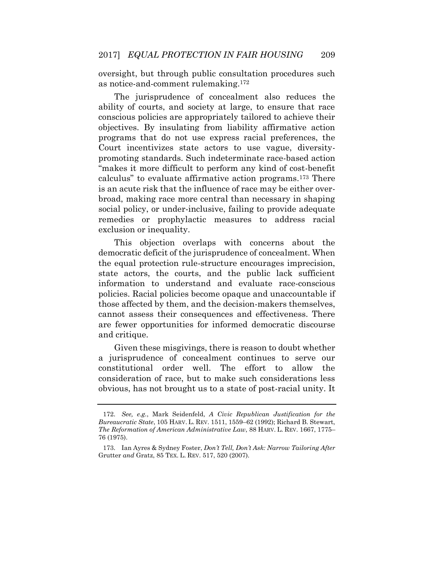oversight, but through public consultation procedures such as notice-and-comment rulemaking.172

 ability of courts, and society at large, to ensure that race conscious policies are appropriately tailored to achieve their promoting standards. Such indeterminate race-based action is an acute risk that the influence of race may be either over- broad, making race more central than necessary in shaping social policy, or under-inclusive, failing to provide adequate remedies or prophylactic measures to address racial The jurisprudence of concealment also reduces the objectives. By insulating from liability affirmative action programs that do not use express racial preferences, the Court incentivizes state actors to use vague, diversity-"makes it more difficult to perform any kind of cost-benefit calculus" to evaluate affirmative action programs.173 There exclusion or inequality.

 democratic deficit of the jurisprudence of concealment. When information to understand and evaluate race-conscious those affected by them, and the decision-makers themselves, are fewer opportunities for informed democratic discourse This objection overlaps with concerns about the the equal protection rule-structure encourages imprecision, state actors, the courts, and the public lack sufficient policies. Racial policies become opaque and unaccountable if cannot assess their consequences and effectiveness. There and critique.

 Given these misgivings, there is reason to doubt whether constitutional order well. The effort to allow the consideration of race, but to make such considerations less obvious, has not brought us to a state of post-racial unity. It a jurisprudence of concealment continues to serve our

<sup>172.</sup> *See, e.g.*, Mark Seidenfeld, *A Civic Republican Justification for the Bureaucratic State*, 105 HARV. L. REV. 1511, 1559–62 (1992); Richard B. Stewart, *The Reformation of American Administrative Law*, 88 HARV. L. REV. 1667, 1775– 76 (1975).

 173. Ian Ayres & Sydney Foster, *Don't Tell, Don't Ask: Narrow Tailoring After*  Grutter *and* Gratz, 85 TEX. L. REV. 517, 520 (2007).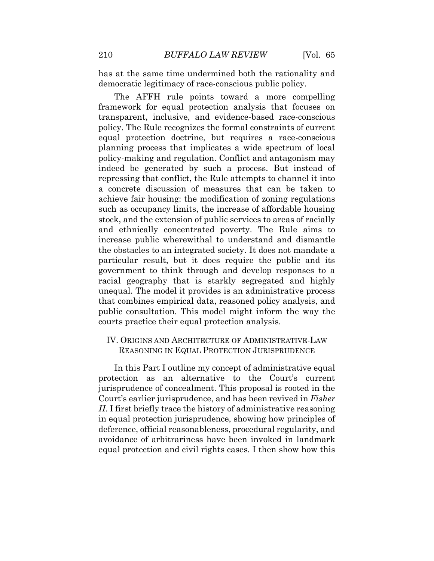has at the same time undermined both the rationality and democratic legitimacy of race-conscious public policy.

 The AFFH rule points toward a more compelling framework for equal protection analysis that focuses on policy. The Rule recognizes the formal constraints of current policy-making and regulation. Conflict and antagonism may indeed be generated by such a process. But instead of repressing that conflict, the Rule attempts to channel it into a concrete discussion of measures that can be taken to achieve fair housing: the modification of zoning regulations such as occupancy limits, the increase of affordable housing and ethnically concentrated poverty. The Rule aims to increase public wherewithal to understand and dismantle particular result, but it does require the public and its government to think through and develop responses to a racial geography that is starkly segregated and highly unequal. The model it provides is an administrative process that combines empirical data, reasoned policy analysis, and public consultation. This model might inform the way the transparent, inclusive, and evidence-based race-conscious equal protection doctrine, but requires a race-conscious planning process that implicates a wide spectrum of local stock, and the extension of public services to areas of racially the obstacles to an integrated society. It does not mandate a courts practice their equal protection analysis.

### IV. ORIGINS AND ARCHITECTURE OF ADMINISTRATIVE-LAW REASONING IN EQUAL PROTECTION JURISPRUDENCE

 Court's earlier jurisprudence, and has been revived in *Fisher*  equal protection and civil rights cases. I then show how this In this Part I outline my concept of administrative equal protection as an alternative to the Court's current jurisprudence of concealment. This proposal is rooted in the *II*. I first briefly trace the history of administrative reasoning in equal protection jurisprudence, showing how principles of deference, official reasonableness, procedural regularity, and avoidance of arbitrariness have been invoked in landmark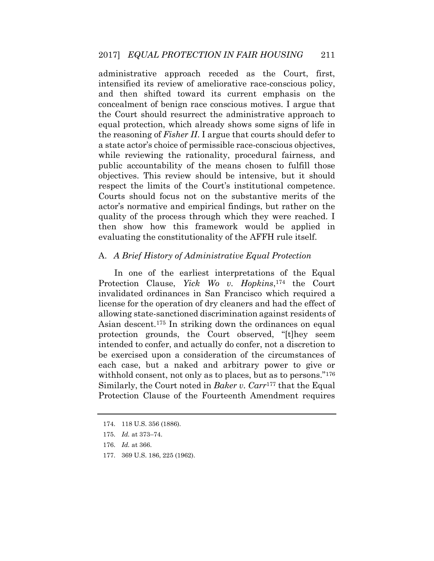intensified its review of ameliorative race-conscious policy, and then shifted toward its current emphasis on the equal protection, which already shows some signs of life in the reasoning of *Fisher II*. I argue that courts should defer to a state actor's choice of permissible race-conscious objectives, while reviewing the rationality, procedural fairness, and public accountability of the means chosen to fulfill those objectives. This review should be intensive, but it should Courts should focus not on the substantive merits of the actor's normative and empirical findings, but rather on the administrative approach receded as the Court, first, concealment of benign race conscious motives. I argue that the Court should resurrect the administrative approach to respect the limits of the Court's institutional competence. quality of the process through which they were reached. I then show how this framework would be applied in evaluating the constitutionality of the AFFH rule itself.

#### A. *A Brief History of Administrative Equal Protection*

 Protection Clause, *Yick Wo v. Hopkins*,174 the Court license for the operation of dry cleaners and had the effect of intended to confer, and actually do confer, not a discretion to be exercised upon a consideration of the circumstances of each case, but a naked and arbitrary power to give or withhold consent, not only as to places, but as to persons."<sup>176</sup> Similarly, the Court noted in *Baker v. Carr*177 that the Equal In one of the earliest interpretations of the Equal invalidated ordinances in San Francisco which required a allowing state-sanctioned discrimination against residents of Asian descent.175 In striking down the ordinances on equal protection grounds, the Court observed, "[t]hey seem Protection Clause of the Fourteenth Amendment requires

177. 369 U.S. 186, 225 (1962).

<sup>174. 118</sup> U.S. 356 (1886).

<sup>175.</sup> *Id.* at 373–74.

<sup>176.</sup> *Id.* at 366.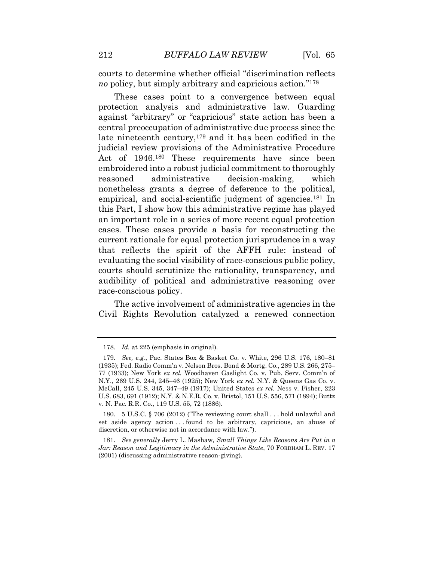courts to determine whether official "discrimination reflects *no* policy, but simply arbitrary and capricious action."<sup>178</sup>

 protection analysis and administrative law. Guarding central preoccupation of administrative due process since the embroidered into a robust judicial commitment to thoroughly nonetheless grants a degree of deference to the political, this Part, I show how this administrative regime has played cases. These cases provide a basis for reconstructing the current rationale for equal protection jurisprudence in a way that reflects the spirit of the AFFH rule: instead of evaluating the social visibility of race-conscious public policy, audibility of political and administrative reasoning over These cases point to a convergence between equal against "arbitrary" or "capricious" state action has been a late nineteenth century,<sup>179</sup> and it has been codified in the judicial review provisions of the Administrative Procedure Act of 1946.180 These requirements have since been reasoned administrative decision-making, which empirical, and social-scientific judgment of agencies.<sup>181</sup> In an important role in a series of more recent equal protection courts should scrutinize the rationality, transparency, and race-conscious policy.

 Civil Rights Revolution catalyzed a renewed connection The active involvement of administrative agencies in the

 180. 5 U.S.C. § 706 (2012) ("The reviewing court shall . . . hold unlawful and set aside agency action . . . found to be arbitrary, capricious, an abuse of discretion, or otherwise not in accordance with law.").

 181. *See generally* Jerry L. Mashaw*, Small Things Like Reasons Are Put in a Jar: Reason and Legitimacy in the Administrative State*, 70 FORDHAM L. REV. 17 (2001) (discussing administrative reason-giving).

<sup>178.</sup> *Id.* at 225 (emphasis in original).

 179. *See, e.g.*, Pac. States Box & Basket Co. v. White, 296 U.S. 176, 180–81 (1935); Fed. Radio Comm'n v. Nelson Bros. Bond & Mortg. Co., 289 U.S. 266, 275– 77 (1933); New York *ex rel.* Woodhaven Gaslight Co. v. Pub. Serv. Comm'n of N.Y., 269 U.S. 244, 245–46 (1925); New York *ex rel.* N.Y. & Queens Gas Co. v. U.S. 683, 691 (1912); N.Y. & N.E.R. Co. v. Bristol, 151 U.S. 556, 571 (1894); Buttz McCall, 245 U.S. 345, 347–49 (1917); United States *ex rel.* Ness v. Fisher, 223 v. N. Pac. R.R. Co., 119 U.S. 55, 72 (1886).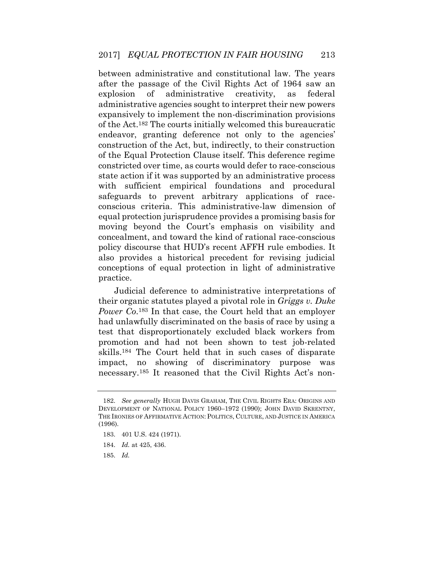between administrative and constitutional law. The years after the passage of the Civil Rights Act of 1964 saw an of the Act.182 The courts initially welcomed this bureaucratic construction of the Act, but, indirectly, to their construction constricted over time, as courts would defer to race-conscious state action if it was supported by an administrative process with sufficient empirical foundations and procedural equal protection jurisprudence provides a promising basis for moving beyond the Court's emphasis on visibility and concealment, and toward the kind of rational race-conscious also provides a historical precedent for revising judicial conceptions of equal protection in light of administrative explosion of administrative creativity, as federal administrative agencies sought to interpret their new powers expansively to implement the non-discrimination provisions endeavor, granting deference not only to the agencies' of the Equal Protection Clause itself. This deference regime safeguards to prevent arbitrary applications of raceconscious criteria. This administrative-law dimension of policy discourse that HUD's recent AFFH rule embodies. It practice.

 their organic statutes played a pivotal role in *Griggs v. Duke*  test that disproportionately excluded black workers from promotion and had not been shown to test job-related necessary.185 It reasoned that the Civil Rights Act's non-Judicial deference to administrative interpretations of *Power Co*.183 In that case, the Court held that an employer had unlawfully discriminated on the basis of race by using a skills.184 The Court held that in such cases of disparate impact, no showing of discriminatory purpose was

 182. *See generally* HUGH DAVIS GRAHAM, THE CIVIL RIGHTS ERA: ORIGINS AND DEVELOPMENT OF NATIONAL POLICY 1960–1972 (1990); JOHN DAVID SKRENTNY, THE IRONIES OF AFFIRMATIVE ACTION: POLITICS, CULTURE, AND JUSTICE IN AMERICA (1996).

<sup>183. 401</sup> U.S. 424 (1971).

<sup>184.</sup> *Id.* at 425, 436.

<sup>185.</sup> *Id.*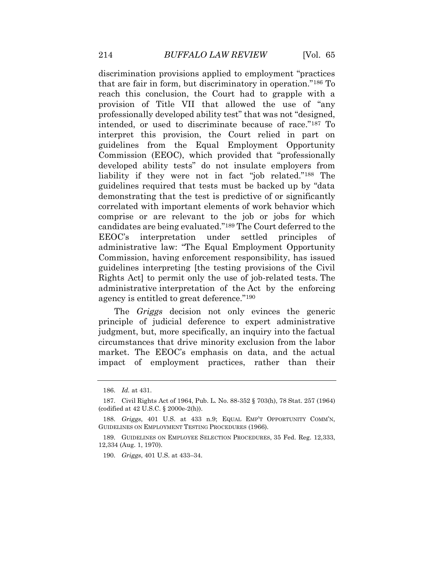discrimination provisions applied to employment "practices reach this conclusion, the Court had to grapple with a professionally developed ability test" that was not "designed, intended, or used to discriminate because of race."187 To developed ability tests" do not insulate employers from liability if they were not in fact "job related."188 The guidelines required that tests must be backed up by "data correlated with important elements of work behavior which comprise or are relevant to the job or jobs for which EEOC's interpretation under settled principles of Commission, having enforcement responsibility, has issued Rights Act] to permit only the use of job-related tests. The that are fair in form, but discriminatory in operation."186 To provision of Title VII that allowed the use of "any interpret this provision, the Court relied in part on guidelines from the Equal Employment Opportunity Commission (EEOC), which provided that "professionally demonstrating that the test is predictive of or significantly candidates are being evaluated."189 The Court deferred to the administrative law: "The Equal Employment Opportunity guidelines interpreting [the testing provisions of the Civil administrative interpretation of the Act by the enforcing agency is entitled to great deference."<sup>190</sup>

 judgment, but, more specifically, an inquiry into the factual market. The EEOC's emphasis on data, and the actual The *Griggs* decision not only evinces the generic principle of judicial deference to expert administrative circumstances that drive minority exclusion from the labor impact of employment practices, rather than their

<sup>186.</sup> *Id.* at 431.

<sup>187.</sup> Civil Rights Act of 1964, Pub. L. No. 88-352 § 703(h), 78 Stat. 257 (1964) (codified at 42 U.S.C. § 2000e-2(h)).

 GUIDELINES ON EMPLOYMENT TESTING PROCEDURES (1966). 188. *Griggs*, 401 U.S. at 433 n.9; EQUAL EMP'T OPPORTUNITY COMM'N,

 189. GUIDELINES ON EMPLOYEE SELECTION PROCEDURES, 35 Fed. Reg. 12,333, 12,334 (Aug. 1, 1970).

<sup>190.</sup> *Griggs*, 401 U.S. at 433–34.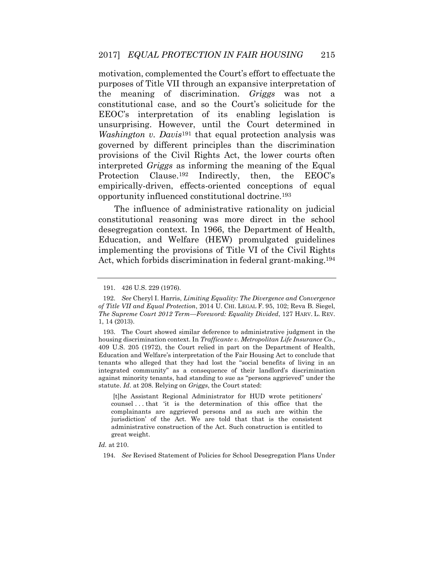constitutional case, and so the Court's solicitude for the governed by different principles than the discrimination provisions of the Civil Rights Act, the lower courts often empirically-driven, effects-oriented conceptions of equal motivation, complemented the Court's effort to effectuate the purposes of Title VII through an expansive interpretation of the meaning of discrimination. *Griggs* was not a EEOC's interpretation of its enabling legislation is unsurprising. However, until the Court determined in *Washington v. Davis*191 that equal protection analysis was interpreted *Griggs* as informing the meaning of the Equal Protection Clause.<sup>192</sup> Indirectly, then, the EEOC's opportunity influenced constitutional doctrine.193

 implementing the provisions of Title VI of the Civil Rights Act, which forbids discrimination in federal grant-making.194 The influence of administrative rationality on judicial constitutional reasoning was more direct in the school desegregation context. In 1966, the Department of Health, Education, and Welfare (HEW) promulgated guidelines

 193. The Court showed similar deference to administrative judgment in the 409 U.S. 205 (1972), the Court relied in part on the Department of Health, Education and Welfare's interpretation of the Fair Housing Act to conclude that tenants who alleged that they had lost the "social benefits of living in an integrated community" as a consequence of their landlord's discrimination against minority tenants, had standing to sue as "persons aggrieved" under the housing discrimination context. In *Trafficante v. Metropolitan Life Insurance Co.*, statute. *Id*. at 208. Relying on *Griggs*, the Court stated:

 [t]he Assistant Regional Administrator for HUD wrote petitioners' counsel . . . that 'it is the determination of this office that the complainants are aggrieved persons and as such are within the jurisdiction' of the Act. We are told that that is the consistent administrative construction of the Act. Such construction is entitled to great weight.

*Id.* at 210.

194. *See* Revised Statement of Policies for School Desegregation Plans Under

<sup>191. 426</sup> U.S. 229 (1976).

 192. *See* Cheryl I. Harris, *Limiting Equality: The Divergence and Convergence of Title VII and Equal Protection*, 2014 U. CHI. LEGAL F. 95, 102; Reva B. Siegel,  *The Supreme Court 2012 Term—Foreword: Equality Divided*, 127 HARV. L. REV. 1, 14 (2013).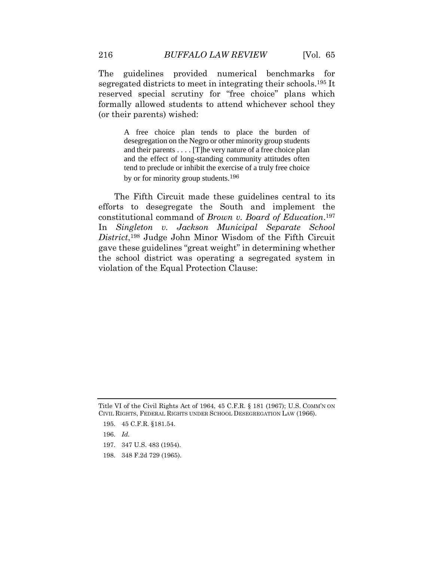The guidelines provided numerical benchmarks for segregated districts to meet in integrating their schools.195 It reserved special scrutiny for "free choice" plans which formally allowed students to attend whichever school they (or their parents) wished:

> A free choice plan tends to place the burden of desegregation on the Negro or other minority group students and their parents . . . . [T]he very nature of a free choice plan and the effect of long-standing community attitudes often tend to preclude or inhibit the exercise of a truly free choice by or for minority group students.<sup>196</sup>

 The Fifth Circuit made these guidelines central to its constitutional command of *Brown v. Board of Education*.197  In *Singleton v. Jackson Municipal Separate School*  the school district was operating a segregated system in efforts to desegregate the South and implement the *District*,198 Judge John Minor Wisdom of the Fifth Circuit gave these guidelines "great weight" in determining whether violation of the Equal Protection Clause:

- 197. 347 U.S. 483 (1954).
- 198. 348 F.2d 729 (1965).

 Title VI of the Civil Rights Act of 1964, 45 C.F.R. § 181 (1967); U.S. COMM'N ON CIVIL RIGHTS, FEDERAL RIGHTS UNDER SCHOOL DESEGREGATION LAW (1966).

<sup>195. 45</sup> C.F.R. §181.54.

<sup>196.</sup> *Id.*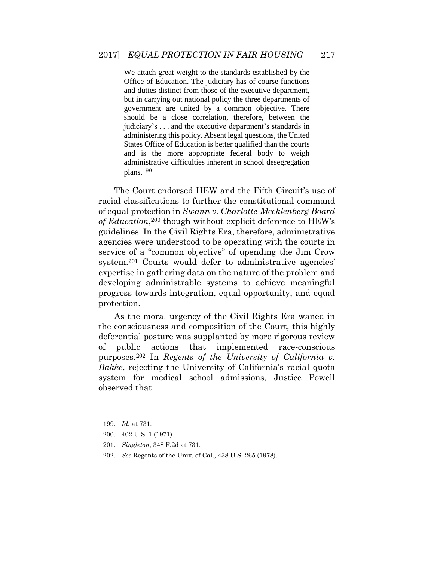We attach great weight to the standards established by the Office of Education. The judiciary has of course functions and duties distinct from those of the executive department, but in carrying out national policy the three departments of should be a close correlation, therefore, between the administering this policy. Absent legal questions, the United States Office of Education is better qualified than the courts and is the more appropriate federal body to weigh administrative difficulties inherent in school desegregation government are united by a common objective. There judiciary's . . . and the executive department's standards in plans.<sup>199</sup>

 The Court endorsed HEW and the Fifth Circuit's use of racial classifications to further the constitutional command guidelines. In the Civil Rights Era, therefore, administrative service of a "common objective" of upending the Jim Crow system.<sup>201</sup> Courts would defer to administrative agencies' expertise in gathering data on the nature of the problem and progress towards integration, equal opportunity, and equal of equal protection in *Swann v. Charlotte-Mecklenberg Board of Education*,200 though without explicit deference to HEW's agencies were understood to be operating with the courts in developing administrable systems to achieve meaningful protection.

 As the moral urgency of the Civil Rights Era waned in the consciousness and composition of the Court, this highly deferential posture was supplanted by more rigorous review public  purposes.202 In *Regents of the University of California v. Bakke*, rejecting the University of California's racial quota system for medical school admissions, Justice Powell of public actions that implemented race-conscious observed that

<sup>199.</sup> *Id.* at 731.

<sup>200. 402</sup> U.S. 1 (1971).

<sup>201.</sup> *Singleton*, 348 F.2d at 731.

<sup>202.</sup> *See* Regents of the Univ. of Cal., 438 U.S. 265 (1978).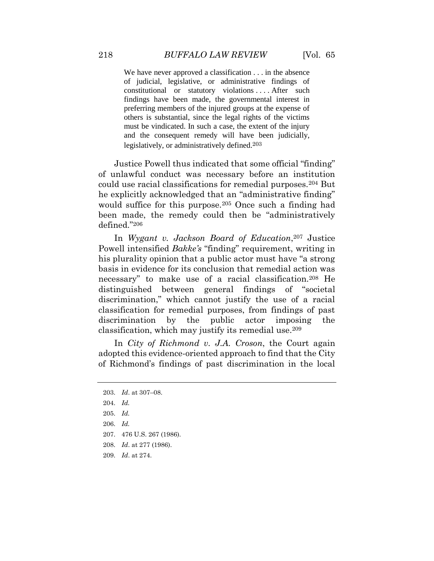We have never approved a classification . . . in the absence constitutional or statutory violations . . . . After such findings have been made, the governmental interest in preferring members of the injured groups at the expense of others is substantial, since the legal rights of the victims must be vindicated. In such a case, the extent of the injury and the consequent remedy will have been judicially, of judicial, legislative, or administrative findings of legislatively, or administratively defined.<sup>203</sup>

 Justice Powell thus indicated that some official "finding" could use racial classifications for remedial purposes.204 But would suffice for this purpose.<sup>205</sup> Once such a finding had been made, the remedy could then be "administratively of unlawful conduct was necessary before an institution he explicitly acknowledged that an "administrative finding" defined."<sup>206</sup>

 Powell intensified *Bakke's* "finding" requirement, writing in his plurality opinion that a public actor must have "a strong basis in evidence for its conclusion that remedial action was necessary" to make use of a racial classification.208 He discrimination," which cannot justify the use of a racial classification for remedial purposes, from findings of past discrimination by the public actor imposing the In *Wygant v. Jackson Board of Education*,207 Justice distinguished between general findings of "societal classification, which may justify its remedial use.209

 adopted this evidence-oriented approach to find that the City of Richmond's findings of past discrimination in the local In *City of Richmond v. J.A. Croson*, the Court again

204. *Id.* 

- 206. *Id.*
- 207. 476 U.S. 267 (1986).
- 208. *Id*. at 277 (1986).
- 209. *Id*. at 274.

<sup>203.</sup> *Id*. at 307–08.

<sup>205.</sup> *Id.*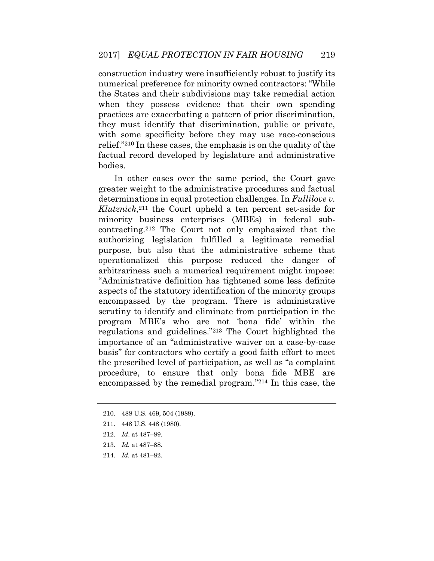numerical preference for minority owned contractors: "While the States and their subdivisions may take remedial action when they possess evidence that their own spending practices are exacerbating a pattern of prior discrimination, they must identify that discrimination, public or private, with some specificity before they may use race-conscious relief."210 In these cases, the emphasis is on the quality of the factual record developed by legislature and administrative construction industry were insufficiently robust to justify its bodies.

 In other cases over the same period, the Court gave greater weight to the administrative procedures and factual determinations in equal protection challenges. In *Fullilove v. Klutznick*,211 the Court upheld a ten percent set-aside for contracting.212 The Court not only emphasized that the operationalized this purpose reduced the danger of arbitrariness such a numerical requirement might impose: "Administrative definition has tightened some less definite encompassed by the program. There is administrative program MBE's who are not 'bona fide' within the importance of an "administrative waiver on a case-by-case basis" for contractors who certify a good faith effort to meet the prescribed level of participation, as well as "a complaint procedure, to ensure that only bona fide MBE are encompassed by the remedial program."214 In this case, the minority business enterprises (MBEs) in federal subauthorizing legislation fulfilled a legitimate remedial purpose, but also that the administrative scheme that aspects of the statutory identification of the minority groups scrutiny to identify and eliminate from participation in the regulations and guidelines."213 The Court highlighted the

214. *Id.* at 481–82.

<sup>210. 488</sup> U.S. 469, 504 (1989).

<sup>211. 448</sup> U.S. 448 (1980).

<sup>212.</sup> *Id*. at 487–89.

<sup>213.</sup> *Id.* at 487–88.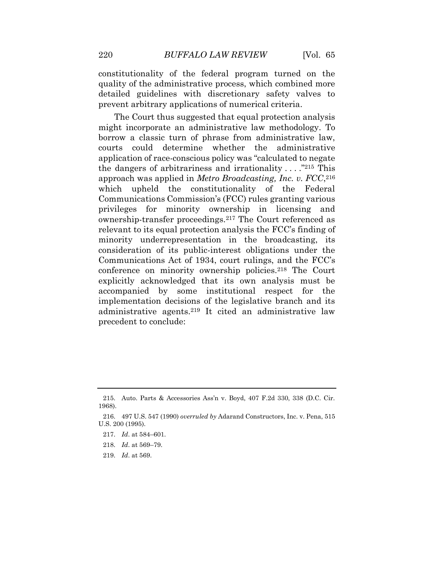constitutionality of the federal program turned on the quality of the administrative process, which combined more detailed guidelines with discretionary safety valves to prevent arbitrary applications of numerical criteria.

 borrow a classic turn of phrase from administrative law, courts could determine whether the administrative application of race-conscious policy was "calculated to negate which upheld the constitutionality of the Federal privileges for minority ownership in licensing and ownership-transfer proceedings.217 The Court referenced as minority underrepresentation in the broadcasting, its consideration of its public-interest obligations under the Communications Act of 1934, court rulings, and the FCC's accompanied by some institutional respect for the administrative agents.219 It cited an administrative law The Court thus suggested that equal protection analysis might incorporate an administrative law methodology. To the dangers of arbitrariness and irrationality  $\dots$  ."215 This approach was applied in *Metro Broadcasting, Inc. v. FCC*,216 Communications Commission's (FCC) rules granting various relevant to its equal protection analysis the FCC's finding of conference on minority ownership policies.218 The Court explicitly acknowledged that its own analysis must be implementation decisions of the legislative branch and its precedent to conclude:

219. *Id*. at 569.

<sup>215.</sup> Auto. Parts & Accessories Ass'n v. Boyd, 407 F.2d 330, 338 (D.C. Cir. 1968).

 216. 497 U.S. 547 (1990) *overruled by* Adarand Constructors, Inc. v. Pena, 515 U.S. 200 (1995).

<sup>217.</sup> *Id*. at 584–601.

<sup>218.</sup> *Id*. at 569–79.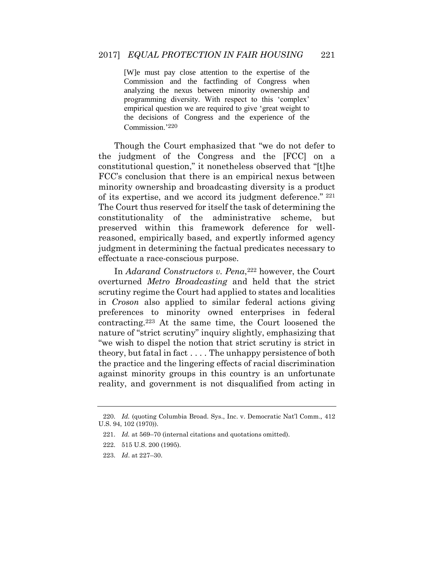[W]e must pay close attention to the expertise of the analyzing the nexus between minority ownership and empirical question we are required to give 'great weight to the decisions of Congress and the experience of the Commission and the factfinding of Congress when programming diversity. With respect to this 'complex' Commission.'<sup>220</sup>

 Though the Court emphasized that "we do not defer to the judgment of the Congress and the [FCC] on a constitutional question," it nonetheless observed that "[t]he FCC's conclusion that there is an empirical nexus between minority ownership and broadcasting diversity is a product of its expertise, and we accord its judgment deference." 221 The Court thus reserved for itself the task of determining the constitutionality of the preserved within this framework deference for well- reasoned, empirically based, and expertly informed agency administrative scheme, but judgment in determining the factual predicates necessary to effectuate a race-conscious purpose.

 overturned *Metro Broadcasting* and held that the strict scrutiny regime the Court had applied to states and localities in *Croson* also applied to similar federal actions giving preferences to minority owned enterprises in federal contracting.223 At the same time, the Court loosened the nature of "strict scrutiny" inquiry slightly, emphasizing that "we wish to dispel the notion that strict scrutiny is strict in In *Adarand Constructors v. Pena*,<sup>222</sup> however, the Court theory, but fatal in fact . . . . The unhappy persistence of both the practice and the lingering effects of racial discrimination against minority groups in this country is an unfortunate reality, and government is not disqualified from acting in

<sup>220.</sup> *Id.* (quoting Columbia Broad. Sys., Inc. v. Democratic Nat'l Comm.*,* 412 U.S. 94, 102 (1970)).

<sup>221.</sup> *Id.* at 569–70 (internal citations and quotations omitted).

<sup>222. 515</sup> U.S. 200 (1995).

<sup>223.</sup> *Id*. at 227–30.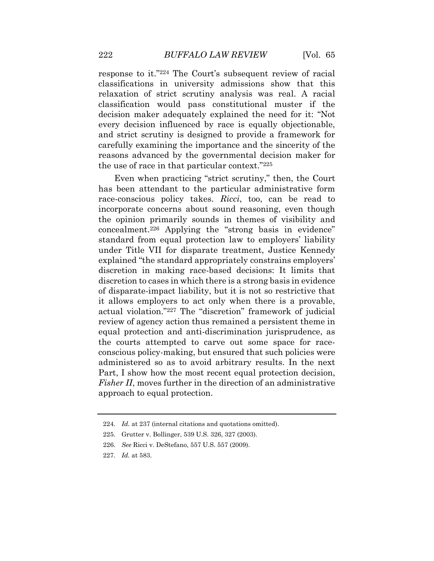classification would pass constitutional muster if the decision maker adequately explained the need for it: "Not every decision influenced by race is equally objectionable, carefully examining the importance and the sincerity of the reasons advanced by the governmental decision maker for response to it."224 The Court's subsequent review of racial classifications in university admissions show that this relaxation of strict scrutiny analysis was real. A racial and strict scrutiny is designed to provide a framework for the use of race in that particular context."<sup>225</sup>

 race-conscious policy takes. *Ricci*, too, can be read to the opinion primarily sounds in themes of visibility and standard from equal protection law to employers' liability under Title VII for disparate treatment, Justice Kennedy explained "the standard appropriately constrains employers' it allows employers to act only when there is a provable, the courts attempted to carve out some space for race- administered so as to avoid arbitrary results. In the next Part, I show how the most recent equal protection decision, Even when practicing "strict scrutiny," then, the Court has been attendant to the particular administrative form incorporate concerns about sound reasoning, even though concealment.226 Applying the "strong basis in evidence" discretion in making race-based decisions: It limits that discretion to cases in which there is a strong basis in evidence of disparate-impact liability, but it is not so restrictive that actual violation."227 The "discretion" framework of judicial review of agency action thus remained a persistent theme in equal protection and anti-discrimination jurisprudence, as conscious policy-making, but ensured that such policies were *Fisher II*, moves further in the direction of an administrative approach to equal protection.

<sup>224.</sup> *Id.* at 237 (internal citations and quotations omitted).

<sup>225.</sup> Grutter v. Bollinger, 539 U.S. 326, 327 (2003).

<sup>226.</sup> *See* Ricci v. DeStefano, 557 U.S. 557 (2009).

<sup>227.</sup> *Id.* at 583.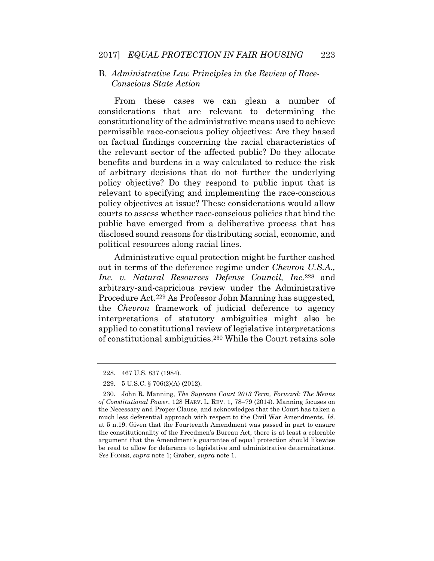## B. *Administrative Law Principles in the Review of Race-Conscious State Action*

 considerations that are relevant to determining the constitutionality of the administrative means used to achieve permissible race-conscious policy objectives: Are they based the relevant sector of the affected public? Do they allocate benefits and burdens in a way calculated to reduce the risk policy objective? Do they respond to public input that is relevant to specifying and implementing the race-conscious policy objectives at issue? These considerations would allow courts to assess whether race-conscious policies that bind the public have emerged from a deliberative process that has disclosed sound reasons for distributing social, economic, and From these cases we can glean a number of on factual findings concerning the racial characteristics of of arbitrary decisions that do not further the underlying political resources along racial lines.

 Administrative equal protection might be further cashed Procedure Act.<sup>229</sup> As Professor John Manning has suggested, interpretations of statutory ambiguities might also be of constitutional ambiguities.230 While the Court retains sole out in terms of the deference regime under *Chevron U.S.A., Inc. v. Natural Resources Defense Council, Inc.*228 and arbitrary-and-capricious review under the Administrative the *Chevron* framework of judicial deference to agency applied to constitutional review of legislative interpretations

<sup>228. 467</sup> U.S. 837 (1984).

<sup>229. 5</sup> U.S.C. § 706(2)(A) (2012).

 230. John R. Manning, *The Supreme Court 2013 Term, Forward: The Means of Constitutional Power*, 128 HARV. L. REV. 1, 78–79 (2014). Manning focuses on the Necessary and Proper Clause, and acknowledges that the Court has taken a much less deferential approach with respect to the Civil War Amendments. *Id.*  at 5 n.19. Given that the Fourteenth Amendment was passed in part to ensure the constitutionality of the Freedmen's Bureau Act, there is at least a colorable argument that the Amendment's guarantee of equal protection should likewise be read to allow for deference to legislative and administrative determinations. *See* FONER, *supra* note 1; Graber, *supra* note 1.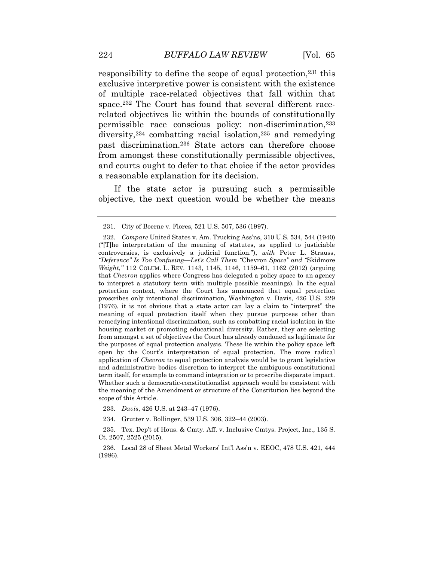responsibility to define the scope of equal protection,<sup>231</sup> this exclusive interpretive power is consistent with the existence of multiple race-related objectives that fall within that diversity,234 combatting racial isolation,235 and remedying space.<sup>232</sup> The Court has found that several different racerelated objectives lie within the bounds of constitutionally permissible race conscious policy: non-discrimination,233 past discrimination.236 State actors can therefore choose from amongst these constitutionally permissible objectives, and courts ought to defer to that choice if the actor provides a reasonable explanation for its decision.

If the state actor is pursuing such a permissible objective, the next question would be whether the means

233. *Davis*, 426 U.S. at 243–47 (1976).

<sup>231.</sup> City of Boerne v. Flores, 521 U.S. 507, 536 (1997).

 232. *Compare* United States v. Am. Trucking Ass'ns, 310 U.S. 534, 544 (1940) ("[T]he interpretation of the meaning of statutes, as applied to justiciable controversies, is exclusively a judicial function."), *with* Peter L. Strauss, *Weight*," 112 COLUM. L. REV. 1143, 1145, 1146, 1159–61, 1162 (2012) (arguing that *Chevron* applies where Congress has delegated a policy space to an agency to interpret a statutory term with multiple possible meanings). In the equal protection context, where the Court has announced that equal protection proscribes only intentional discrimination, Washington v. Davis, 426 U.S. 229 (1976), it is not obvious that a state actor can lay a claim to "interpret" the meaning of equal protection itself when they pursue purposes other than remedying intentional discrimination, such as combatting racial isolation in the housing market or promoting educational diversity. Rather, they are selecting from amongst a set of objectives the Court has already condoned as legitimate for the purposes of equal protection analysis. These lie within the policy space left open by the Court's interpretation of equal protection. The more radical application of *Chevron* to equal protection analysis would be to grant legislative and administrative bodies discretion to interpret the ambiguous constitutional term itself, for example to command integration or to proscribe disparate impact. Whether such a democratic-constitutionalist approach would be consistent with the meaning of the Amendment or structure of the Constitution lies beyond the *"Deference" Is Too Confusing—Let's Call Them "*Chevron *Space" and "*Skidmore scope of this Article.

<sup>234.</sup> Grutter v. Bollinger, 539 U.S. 306, 322–44 (2003).

 235. Tex. Dep't of Hous. & Cmty. Aff. v. Inclusive Cmtys. Project, Inc., 135 S. Ct. 2507, 2525 (2015).

 236. Local 28 of Sheet Metal Workers' Int'l Ass'n v. EEOC, 478 U.S. 421, 444 (1986).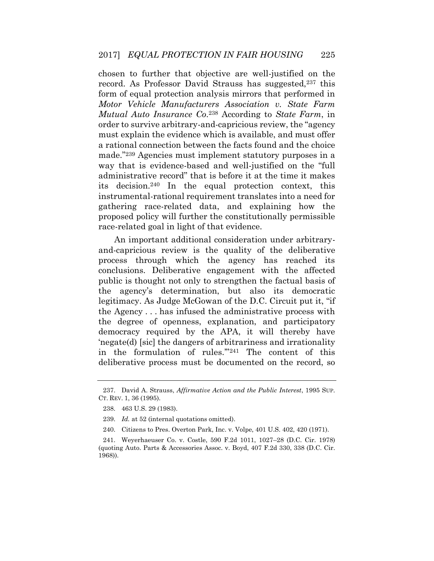record. As Professor David Strauss has suggested,<sup>237</sup> this  *Motor Vehicle Manufacturers Association v. State Farm*  order to survive arbitrary-and-capricious review, the "agency must explain the evidence which is available, and must offer way that is evidence-based and well-justified on the "full instrumental-rational requirement translates into a need for gathering race-related data, and explaining how the proposed policy will further the constitutionally permissible chosen to further that objective are well-justified on the form of equal protection analysis mirrors that performed in *Mutual Auto Insurance Co*.238 According to *State Farm*, in a rational connection between the facts found and the choice made."239 Agencies must implement statutory purposes in a administrative record" that is before it at the time it makes its decision.240 In the equal protection context, this race-related goal in light of that evidence.

 and-capricious review is the quality of the deliberative process through which the agency has reached its conclusions. Deliberative engagement with the affected public is thought not only to strengthen the factual basis of legitimacy. As Judge McGowan of the D.C. Circuit put it, "if democracy required by the APA, it will thereby have 'negate(d) [sic] the dangers of arbitrariness and irrationality An important additional consideration under arbitrarythe agency's determination, but also its democratic the Agency . . . has infused the administrative process with the degree of openness, explanation, and participatory in the formulation of rules.'"241 The content of this deliberative process must be documented on the record, so

 237. David A. Strauss, *Affirmative Action and the Public Interest*, 1995 SUP. CT. REV. 1, 36 (1995).

<sup>238. 463</sup> U.S. 29 (1983).

<sup>239.</sup> *Id.* at 52 (internal quotations omitted).

<sup>240.</sup> Citizens to Pres. Overton Park, Inc. v. Volpe, 401 U.S. 402, 420 (1971).

 (quoting Auto. Parts & Accessories Assoc. v. Boyd, 407 F.2d 330, 338 (D.C. Cir. 241. Weyerhaeuser Co. v. Costle, 590 F.2d 1011, 1027–28 (D.C. Cir. 1978) 1968)).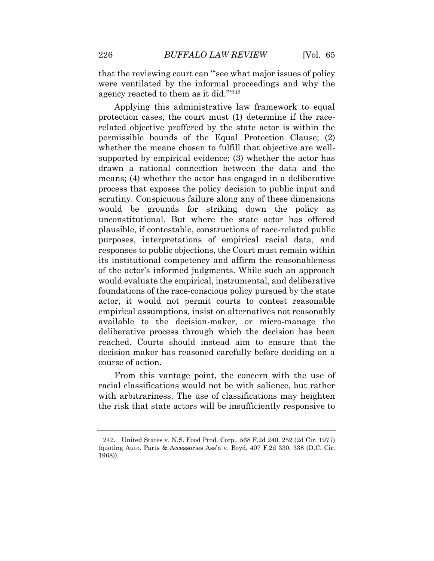that the reviewing court can "'see what major issues of policy were ventilated by the informal proceedings and why the agency reacted to them as it did.'"<sup>242</sup>

 related objective proffered by the state actor is within the permissible bounds of the Equal Protection Clause; (2) supported by empirical evidence; (3) whether the actor has drawn a rational connection between the data and the means; (4) whether the actor has engaged in a deliberative process that exposes the policy decision to public input and would be grounds for striking down the policy as plausible, if contestable, constructions of race-related public purposes, interpretations of empirical racial data, and its institutional competency and affirm the reasonableness would evaluate the empirical, instrumental, and deliberative foundations of the race-conscious policy pursued by the state reached. Courts should instead aim to ensure that the decision-maker has reasoned carefully before deciding on a Applying this administrative law framework to equal protection cases, the court must (1) determine if the racewhether the means chosen to fulfill that objective are wellscrutiny. Conspicuous failure along any of these dimensions unconstitutional. But where the state actor has offered responses to public objections, the Court must remain within of the actor's informed judgments. While such an approach actor, it would not permit courts to contest reasonable empirical assumptions, insist on alternatives not reasonably available to the decision-maker, or micro-manage the deliberative process through which the decision has been course of action.

 racial classifications would not be with salience, but rather with arbitrariness. The use of classifications may heighten From this vantage point, the concern with the use of the risk that state actors will be insufficiently responsive to

 242. United States v. N.S. Food Prod. Corp., 568 F.2d 240, 252 (2d Cir. 1977) (quoting Auto. Parts & Accessories Ass'n v. Boyd, 407 F.2d 330, 338 (D.C. Cir. 1968)).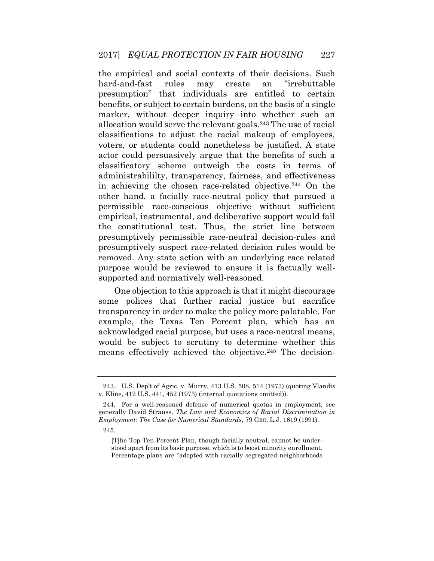the empirical and social contexts of their decisions. Such benefits, or subject to certain burdens, on the basis of a single marker, without deeper inquiry into whether such an allocation would serve the relevant goals.243 The use of racial classifications to adjust the racial makeup of employees, voters, or students could nonetheless be justified. A state classificatory scheme outweigh the costs in terms of other hand, a facially race-neutral policy that pursued a empirical, instrumental, and deliberative support would fail presumptively suspect race-related decision rules would be hard-and-fast rules may create an "irrebuttable presumption" that individuals are entitled to certain actor could persuasively argue that the benefits of such a administrabililty, transparency, fairness, and effectiveness in achieving the chosen race-related objective.244 On the permissible race-conscious objective without sufficient the constitutional test. Thus, the strict line between presumptively permissible race-neutral decision-rules and removed. Any state action with an underlying race related purpose would be reviewed to ensure it is factually wellsupported and normatively well-reasoned.

 some polices that further racial justice but sacrifice transparency in order to make the policy more palatable. For acknowledged racial purpose, but uses a race-neutral means, means effectively achieved the objective.245 The decision-One objection to this approach is that it might discourage example, the Texas Ten Percent plan, which has an would be subject to scrutiny to determine whether this

 243. U.S. Dep't of Agric. v. Murry, 413 U.S. 508, 514 (1973) (quoting Vlandis v. Kline, 412 U.S. 441, 452 (1973) (internal quotations omitted)).

 244. For a well-reasoned defense of numerical quotas in employment, see  generally David Strauss, *The Law and Economics of Racial Discrimination in Employment: The Case for Numerical Standards*, 79 GEO. L.J. 1619 (1991).

<sup>245.</sup> 

 stood apart from its basic purpose, which is to boost minority enrollment. Percentage plans are "adopted with racially segregated neighborhoods [T]he Top Ten Percent Plan, though facially neutral, cannot be under-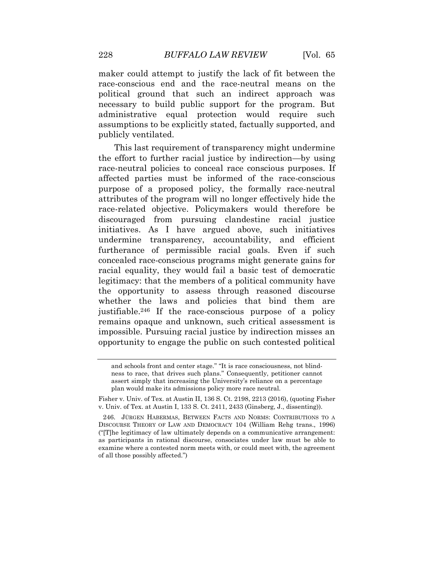maker could attempt to justify the lack of fit between the race-conscious end and the race-neutral means on the political ground that such an indirect approach was necessary to build public support for the program. But administrative equal protection would require such assumptions to be explicitly stated, factually supported, and publicly ventilated.

 the effort to further racial justice by indirection—by using affected parties must be informed of the race-conscious purpose of a proposed policy, the formally race-neutral attributes of the program will no longer effectively hide the discouraged from pursuing clandestine racial justice initiatives. As I have argued above, such initiatives undermine transparency, accountability, and efficient furtherance of permissible racial goals. Even if such concealed race-conscious programs might generate gains for racial equality, they would fail a basic test of democratic legitimacy: that the members of a political community have whether the laws and policies that bind them are justifiable.246 If the race-conscious purpose of a policy impossible. Pursuing racial justice by indirection misses an opportunity to engage the public on such contested political This last requirement of transparency might undermine race-neutral policies to conceal race conscious purposes. If race-related objective. Policymakers would therefore be the opportunity to assess through reasoned discourse remains opaque and unknown, such critical assessment is

 and schools front and center stage." "It is race consciousness, not blind- ness to race, that drives such plans." Consequently, petitioner cannot assert simply that increasing the University's reliance on a percentage plan would make its admissions policy more race neutral.

 Fisher v. Univ. of Tex. at Austin II, 136 S. Ct. 2198, 2213 (2016), (quoting Fisher v. Univ. of Tex. at Austin I, 133 S. Ct. 2411, 2433 (Ginsberg, J., dissenting)).

 246. JÜRGEN HABERMAS, BETWEEN FACTS AND NORMS: CONTRIBUTIONS TO A DISCOURSE THEORY OF LAW AND DEMOCRACY 104 (William Rehg trans., 1996) ("[T]he legitimacy of law ultimately depends on a communicative arrangement: as participants in rational discourse, consociates under law must be able to examine where a contested norm meets with, or could meet with, the agreement of all those possibly affected.")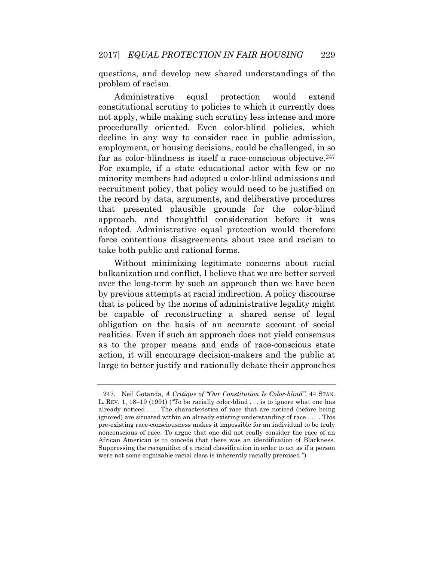questions, and develop new shared understandings of the problem of racism.

would constitutional scrutiny to policies to which it currently does not apply, while making such scrutiny less intense and more procedurally oriented. Even color-blind policies, which employment, or housing decisions, could be challenged, in so far as color-blindness is itself a race-conscious objective.<sup>247</sup> For example, if a state educational actor with few or no minority members had adopted a color-blind admissions and recruitment policy, that policy would need to be justified on the record by data, arguments, and deliberative procedures adopted. Administrative equal protection would therefore force contentious disagreements about race and racism to Administrative equal protection would extend decline in any way to consider race in public admission, that presented plausible grounds for the color-blind approach, and thoughtful consideration before it was take both public and rational forms.

 by previous attempts at racial indirection. A policy discourse be capable of reconstructing a shared sense of legal realities. Even if such an approach does not yield consensus as to the proper means and ends of race-conscious state action, it will encourage decision-makers and the public at large to better justify and rationally debate their approaches Without minimizing legitimate concerns about racial balkanization and conflict, I believe that we are better served over the long-term by such an approach than we have been that is policed by the norms of administrative legality might obligation on the basis of an accurate account of social

 L. REV. 1, 18–19 (1991) ("To be racially color-blind . . . is to ignore what one has already noticed . . . . The characteristics of race that are noticed (before being pre-existing race-consciousness makes it impossible for an individual to be truly nonconscious of race. To argue that one did not really consider the race of an African American is to concede that there was an identification of Blackness. Suppressing the recognition of a racial classification in order to act as if a person 247. Neil Gotanda, *A Critique of "Our Constitution Is Color-blind"*, 44 STAN. ignored) are situated within an already existing understanding of race . . . . This were not some cognizable racial class is inherently racially premised.")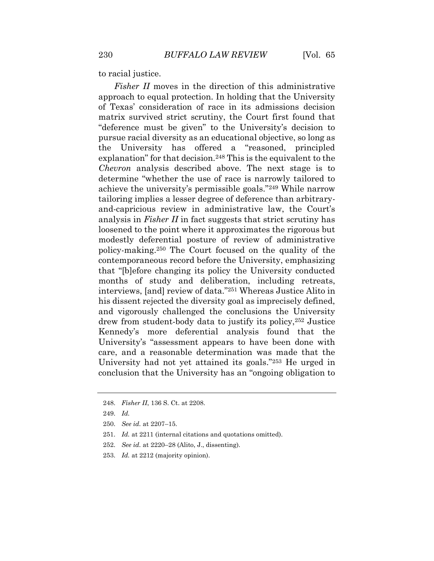to racial justice.

 approach to equal protection. In holding that the University of Texas' consideration of race in its admissions decision matrix survived strict scrutiny, the Court first found that pursue racial diversity as an educational objective, so long as the University has offered a "reasoned, principled explanation" for that decision.248 This is the equivalent to the determine "whether the use of race is narrowly tailored to achieve the university's permissible goals."249 While narrow and-capricious review in administrative law, the Court's loosened to the point where it approximates the rigorous but modestly deferential posture of review of administrative policy-making.250 The Court focused on the quality of the contemporaneous record before the University, emphasizing that "[b]efore changing its policy the University conducted months of study and deliberation, including retreats, his dissent rejected the diversity goal as imprecisely defined, drew from student-body data to justify its policy,252 Justice care, and a reasonable determination was made that the University had not yet attained its goals."253 He urged in *Fisher II* moves in the direction of this administrative "deference must be given" to the University's decision to *Chevron* analysis described above. The next stage is to tailoring implies a lesser degree of deference than arbitraryanalysis in *Fisher II* in fact suggests that strict scrutiny has interviews, [and] review of data."251 Whereas Justice Alito in and vigorously challenged the conclusions the University Kennedy's more deferential analysis found that the University's "assessment appears to have been done with conclusion that the University has an "ongoing obligation to

<sup>248.</sup> *Fisher II*, 136 S. Ct. at 2208.

<sup>249.</sup> *Id.* 

<sup>250.</sup> *See id.* at 2207–15.

<sup>251.</sup> *Id.* at 2211 (internal citations and quotations omitted).

<sup>252.</sup> *See id.* at 2220–28 (Alito, J., dissenting).

<sup>253.</sup> *Id.* at 2212 (majority opinion).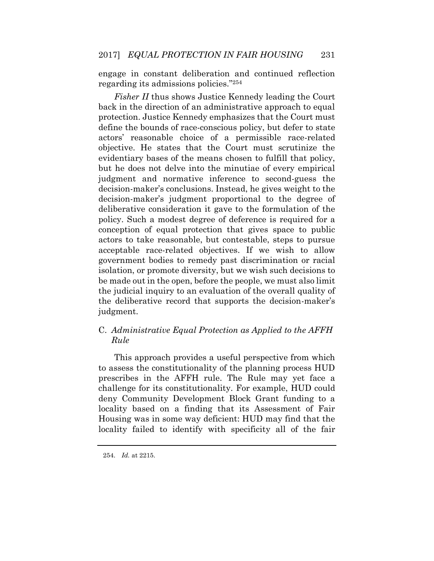engage in constant deliberation and continued reflection regarding its admissions policies."<sup>254</sup>

 *Fisher II* thus shows Justice Kennedy leading the Court define the bounds of race-conscious policy, but defer to state evidentiary bases of the means chosen to fulfill that policy, but he does not delve into the minutiae of every empirical policy. Such a modest degree of deference is required for a acceptable race-related objectives. If we wish to allow government bodies to remedy past discrimination or racial isolation, or promote diversity, but we wish such decisions to the judicial inquiry to an evaluation of the overall quality of back in the direction of an administrative approach to equal protection. Justice Kennedy emphasizes that the Court must actors' reasonable choice of a permissible race-related objective. He states that the Court must scrutinize the judgment and normative inference to second-guess the decision-maker's conclusions. Instead, he gives weight to the decision-maker's judgment proportional to the degree of deliberative consideration it gave to the formulation of the conception of equal protection that gives space to public actors to take reasonable, but contestable, steps to pursue be made out in the open, before the people, we must also limit the deliberative record that supports the decision-maker's judgment.

# C. *Administrative Equal Protection as Applied to the AFFH Rule*

 This approach provides a useful perspective from which prescribes in the AFFH rule. The Rule may yet face a deny Community Development Block Grant funding to a locality based on a finding that its Assessment of Fair Housing was in some way deficient: HUD may find that the locality failed to identify with specificity all of the fair to assess the constitutionality of the planning process HUD challenge for its constitutionality. For example, HUD could

<sup>254.</sup> *Id.* at 2215.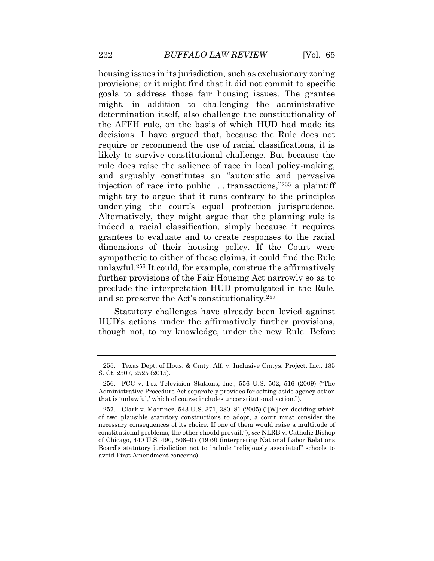housing issues in its jurisdiction, such as exclusionary zoning provisions; or it might find that it did not commit to specific goals to address those fair housing issues. The grantee determination itself, also challenge the constitutionality of the AFFH rule, on the basis of which HUD had made its likely to survive constitutional challenge. But because the rule does raise the salience of race in local policy-making, and arguably constitutes an "automatic and pervasive injection of race into public . . . transactions,"255 a plaintiff might try to argue that it runs contrary to the principles indeed a racial classification, simply because it requires dimensions of their housing policy. If the Court were sympathetic to either of these claims, it could find the Rule unlawful.256 It could, for example, construe the affirmatively further provisions of the Fair Housing Act narrowly so as to might, in addition to challenging the administrative decisions. I have argued that, because the Rule does not require or recommend the use of racial classifications, it is underlying the court's equal protection jurisprudence. Alternatively, they might argue that the planning rule is grantees to evaluate and to create responses to the racial preclude the interpretation HUD promulgated in the Rule, and so preserve the Act's constitutionality.<sup>257</sup>

 Statutory challenges have already been levied against HUD's actions under the affirmatively further provisions, though not, to my knowledge, under the new Rule. Before

 255. Texas Dept. of Hous. & Cmty. Aff. v. Inclusive Cmtys. Project, Inc., 135 S. Ct. 2507, 2525 (2015).

 Administrative Procedure Act separately provides for setting aside agency action 256. FCC v. Fox Television Stations, Inc., 556 U.S. 502, 516 (2009) ("The that is 'unlawful,' which of course includes unconstitutional action.").

 of two plausible statutory constructions to adopt, a court must consider the necessary consequences of its choice. If one of them would raise a multitude of constitutional problems, the other should prevail."); *see* NLRB v. Catholic Bishop of Chicago, 440 U.S. 490, 506–07 (1979) (interpreting National Labor Relations Board's statutory jurisdiction not to include "religiously associated" schools to 257. Clark v. Martinez, 543 U.S. 371, 380–81 (2005) ("[W]hen deciding which avoid First Amendment concerns).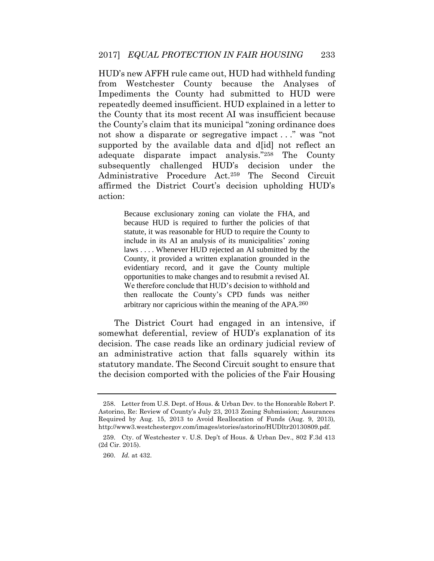HUD's new AFFH rule came out, HUD had withheld funding from Westchester County because the Analyses of Impediments the County had submitted to HUD were repeatedly deemed insufficient. HUD explained in a letter to the County that its most recent AI was insufficient because supported by the available data and d[id] not reflect an subsequently challenged HUD's decision under the the County's claim that its municipal "zoning ordinance does not show a disparate or segregative impact . . ." was "not adequate disparate impact analysis."258 The County Administrative Procedure Act.259 The Second Circuit affirmed the District Court's decision upholding HUD's action:

> Because exclusionary zoning can violate the FHA, and because HUD is required to further the policies of that statute, it was reasonable for HUD to require the County to include in its AI an analysis of its municipalities' zoning laws . . . . Whenever HUD rejected an AI submitted by the evidentiary record, and it gave the County multiple opportunities to make changes and to resubmit a revised AI. We therefore conclude that HUD's decision to withhold and then reallocate the County's CPD funds was neither County, it provided a written explanation grounded in the arbitrary nor capricious within the meaning of the APA.<sup>260</sup>

 The District Court had engaged in an intensive, if decision. The case reads like an ordinary judicial review of the decision comported with the policies of the Fair Housing somewhat deferential, review of HUD's explanation of its an administrative action that falls squarely within its statutory mandate. The Second Circuit sought to ensure that

 258. Letter from U.S. Dept. of Hous. & Urban Dev. to the Honorable Robert P. Astorino, Re: Review of County's July 23, 2013 Zoning Submission; Assurances Required by Aug. 15, 2013 to Avoid Reallocation of Funds (Aug. 9, 2013), <http://www3.westchestergov.com/images/stories/astorino/HUDltr20130809.pdf>.

 259. Cty. of Westchester v. U.S. Dep't of Hous. & Urban Dev., 802 F.3d 413 (2d Cir. 2015).

<sup>260.</sup> *Id.* at 432.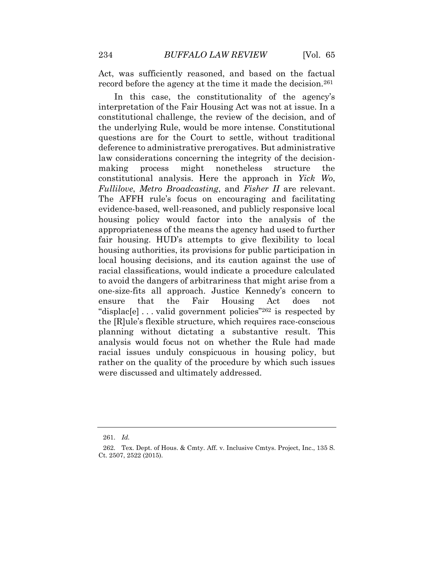Act, was sufficiently reasoned, and based on the factual record before the agency at the time it made the decision.<sup>261</sup>

 constitutional challenge, the review of the decision, and of the underlying Rule, would be more intense. Constitutional questions are for the Court to settle, without traditional making The AFFH rule's focus on encouraging and facilitating evidence-based, well-reasoned, and publicly responsive local housing policy would factor into the analysis of the appropriateness of the means the agency had used to further fair housing. HUD's attempts to give flexibility to local local housing decisions, and its caution against the use of racial classifications, would indicate a procedure calculated the "displac[e] . . . valid government policies"262 is respected by analysis would focus not on whether the Rule had made racial issues unduly conspicuous in housing policy, but In this case, the constitutionality of the agency's interpretation of the Fair Housing Act was not at issue. In a deference to administrative prerogatives. But administrative law considerations concerning the integrity of the decisionprocess might nonetheless structure the constitutional analysis. Here the approach in *Yick Wo*, *Fullilove*, *Metro Broadcasting*, and *Fisher II* are relevant. housing authorities, its provisions for public participation in to avoid the dangers of arbitrariness that might arise from a one-size-fits all approach. Justice Kennedy's concern to ensure that the Fair Housing Act does not the [R]ule's flexible structure, which requires race-conscious planning without dictating a substantive result. This rather on the quality of the procedure by which such issues were discussed and ultimately addressed.

<sup>261.</sup> *Id.* 

 262. Tex. Dept. of Hous. & Cmty. Aff. v. Inclusive Cmtys. Project, Inc., 135 S. Ct. 2507, 2522 (2015).